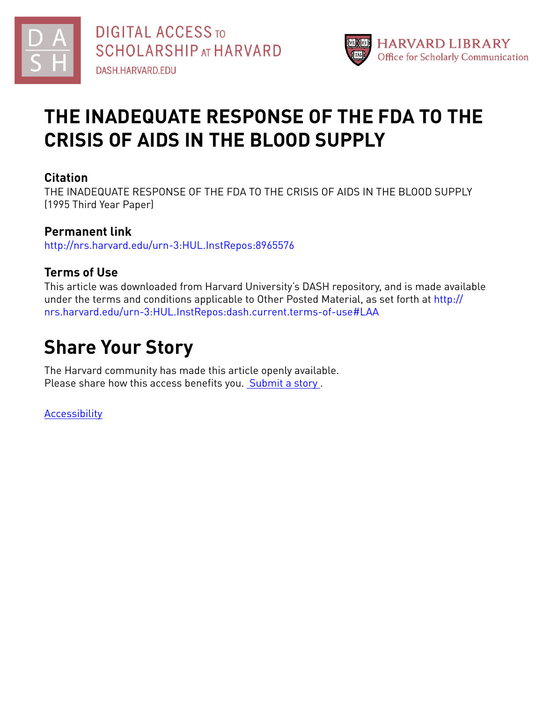



# **THE INADEQUATE RESPONSE OF THE FDA TO THE CRISIS OF AIDS IN THE BLOOD SUPPLY**

## **Citation**

THE INADEQUATE RESPONSE OF THE FDA TO THE CRISIS OF AIDS IN THE BLOOD SUPPLY (1995 Third Year Paper)

## **Permanent link**

<http://nrs.harvard.edu/urn-3:HUL.InstRepos:8965576>

## **Terms of Use**

This article was downloaded from Harvard University's DASH repository, and is made available under the terms and conditions applicable to Other Posted Material, as set forth at [http://](http://nrs.harvard.edu/urn-3:HUL.InstRepos:dash.current.terms-of-use#LAA) [nrs.harvard.edu/urn-3:HUL.InstRepos:dash.current.terms-of-use#LAA](http://nrs.harvard.edu/urn-3:HUL.InstRepos:dash.current.terms-of-use#LAA)

# **Share Your Story**

The Harvard community has made this article openly available. Please share how this access benefits you. [Submit](http://osc.hul.harvard.edu/dash/open-access-feedback?handle=&title=THE%20INADEQUATE%20RESPONSE%20OF%20THE%20FDA%20TO%20THE%20CRISIS%20OF%20AIDS%20IN%20THE%20BLOOD%20SUPPLY&community=1/7&collection=1/2788313&owningCollection1/2788313&harvardAuthors=1adba719cf77866828c0f0c5f1ed2e96&department) a story .

[Accessibility](https://dash.harvard.edu/pages/accessibility)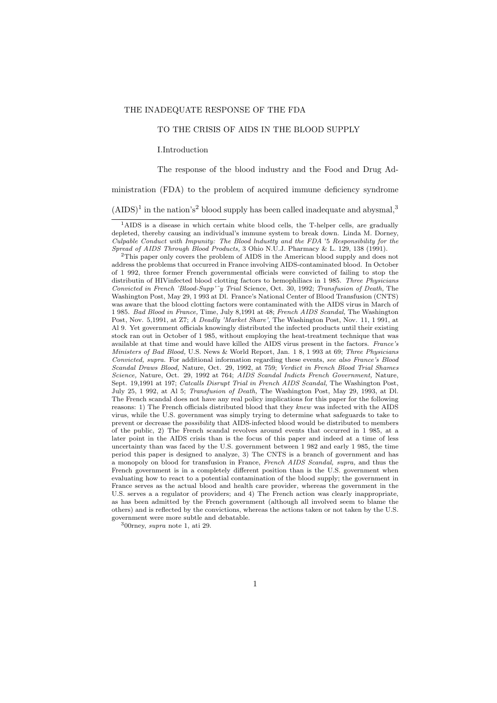#### THE INADEQUATE RESPONSE OF THE FDA

### TO THE CRISIS OF AIDS IN THE BLOOD SUPPLY

I.Introduction

The response of the blood industry and the Food and Drug Ad-

ministration (FDA) to the problem of acquired immune deficiency syndrome

 $(AIDS)^1$  in the nation's<sup>2</sup> blood supply has been called inadequate and abysmal,<sup>3</sup>

 $300$ rney, supra note 1, ati 29.

<sup>&</sup>lt;sup>1</sup>AIDS is a disease in which certain white blood cells, the T-helper cells, are gradually depleted, thereby causing an individual's immune system to break down. Linda M. Dorney, Culpable Conduct with Impunity: The Blood lndustty and the FDA '5 Responsibility for the Spread of AIDS Through Blood Products, 3 Ohio N.U.J. Pharmacy & L. 129, 138 (1991).

<sup>&</sup>lt;sup>2</sup>This paper only covers the problem of AIDS in the American blood supply and does not address the problems that occurred in France involving AIDS-contaminated blood. In October of 1 992, three former French governmental officials were convicted of failing to stop the distributin of HIV infected blood clotting factors to hemophiliacs in 1985. Three Physicians Convicted in French 'Blood-Supp'<sup>\*</sup>y Trial Science, Oct. 30, 1992; Transfusion of Death, The Washington Post, May 29, 1 993 at Dl. France's National Center of Blood Transfusion (CNTS) was aware that the blood clotting factors were contaminated with the AIDS virus in March of 1 985. Bad Blood in France, Time, July 8,1991 at 48; French AIDS Scandal, The Washington Post, Nov. 5,1991, at Z7; A Deadly 'Market Share', The Washington Post, Nov. 11, 1 991, at Al 9. Yet government officials knowingly distributed the infected products until their existing stock ran out in October of 1 985, without employing the heat-treatment technique that was available at that time and would have killed the AIDS virus present in the factors. France's Ministers of Bad Blood, U.S. News & World Report, Jan. 1 8, 1 993 at 69; Three Physicians Convicted, supra. For additional information regarding these events, see also France's Blood Scandal Draws Blood, Nature, Oct. 29, 1992, at 759; Verdict in French Blood Trial Shames Science, Nature, Oct. 29, 1992 at 764; AIDS Scandal Indicts French Government, Nature, Sept. 19,1991 at 197; Catcalls Disrupt Trial in French AIDS Scandal, The Washington Post, July 25, 1 992, at Al 5; Transfusion of Death, The Washington Post, May 29, 1993, at Dl. The French scandal does not have any real policy implications for this paper for the following reasons: 1) The French officials distributed blood that they knew was infected with the AIDS virus, while the U.S. government was simply trying to determine what safeguards to take to prevent or decrease the possibility that AIDS-infected blood would be distributed to members of the public, 2) The French scandal revolves around events that occurred in 1 985, at a later point in the AIDS crisis than is the focus of this paper and indeed at a time of less uncertainty than was faced by the U.S. government between 1 982 and early 1 985, the time period this paper is designed to analyze, 3) The CNTS is a branch of government and has a monopoly on blood for transfusion in France, French AIDS Scandal, supra, and thus the French government is in a completely different position than is the U.S. government when evaluating how to react to a potential contamination of the blood supply; the government in France serves as the actual blood and health care provider, whereas the government in the U.S. serves a a regulator of providers; and 4) The French action was clearly inappropriate, as has been admitted by the French government (although all involved seem to blame the others) and is reflected by the convictions, whereas the actions taken or not taken by the U.S. government were more subtle and debatable.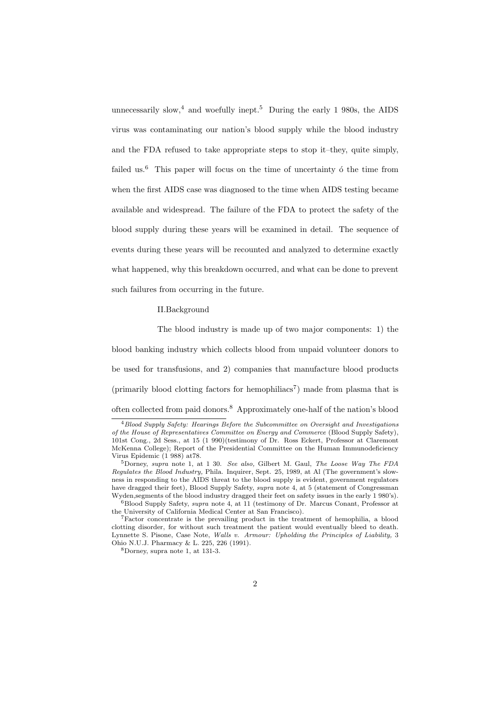unnecessarily slow,<sup>4</sup> and woefully inept.<sup>5</sup> During the early 1 980s, the AIDS virus was contaminating our nation's blood supply while the blood industry and the FDA refused to take appropriate steps to stop it–they, quite simply, failed us.<sup>6</sup> This paper will focus on the time of uncertainty  $\acute{o}$  the time from when the first AIDS case was diagnosed to the time when AIDS testing became available and widespread. The failure of the FDA to protect the safety of the blood supply during these years will be examined in detail. The sequence of events during these years will be recounted and analyzed to determine exactly what happened, why this breakdown occurred, and what can be done to prevent such failures from occurring in the future.

#### II.Background

The blood industry is made up of two major components: 1) the blood banking industry which collects blood from unpaid volunteer donors to be used for transfusions, and 2) companies that manufacture blood products (primarily blood clotting factors for hemophiliacs<sup>7</sup>) made from plasma that is often collected from paid donors.<sup>8</sup> Approximately one-half of the nation's blood

<sup>4</sup>Blood Supply Safety: Hearings Before the Subcommittee on Oversight and Investigations of the House of Representatives Committee on Energy and Commerce (Blood Supply Safety), 101st Cong., 2d Sess., at 15 (1 990)(testimony of Dr. Ross Eckert, Professor at Claremont McKenna College); Report of the Presidential Committee on the Human Immunodeficiency Virus Epidemic (1 988) at78.

<sup>&</sup>lt;sup>5</sup>Dorney, supra note 1, at 1 30. See also, Gilbert M. Gaul, The Loose Way The FDA Regulates the Blood Industry, Phila. Inquirer, Sept. 25, 1989, at Al (The government's slowness in responding to the AIDS threat to the blood supply is evident, government regulators have dragged their feet), Blood Supply Safety, supra note 4, at 5 (statement of Congressman Wyden,segments of the blood industry dragged their feet on safety issues in the early 1 980's).

 $6B$ lood Supply Safety, supra note 4, at 11 (testimony of Dr. Marcus Conant, Professor at the University of California Medical Center at San Francisco).

<sup>7</sup>Factor concentrate is the prevailing product in the treatment of hemophilia, a blood clotting disorder, for without such treatment the patient would eventually bleed to death. Lynnette S. Pisone, Case Note, Walls v. Armour: Upholding the Principles of Liability, 3 Ohio N.U.J. Pharmacy & L. 225, 226 (1991).

<sup>8</sup>Dorney, supra note 1, at 131-3.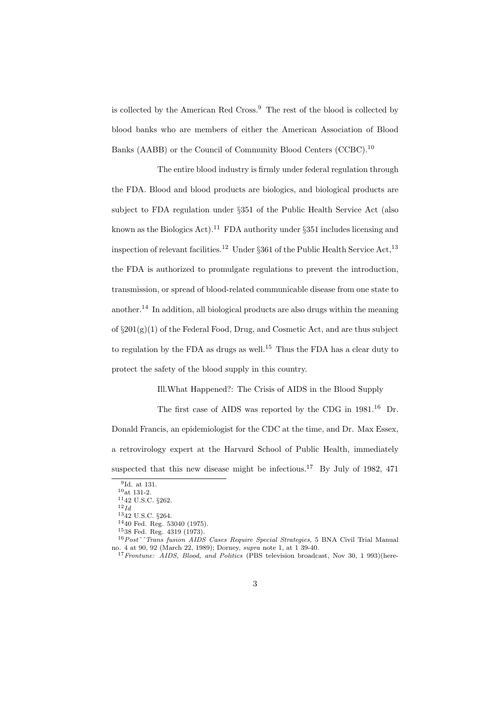is collected by the American Red Cross.<sup>9</sup> The rest of the blood is collected by blood banks who are members of either the American Association of Blood Banks (AABB) or the Council of Community Blood Centers (CCBC).<sup>10</sup>

The entire blood industry is firmly under federal regulation through the FDA. Blood and blood products are biologics, and biological products are subject to FDA regulation under §351 of the Public Health Service Act (also known as the Biologics Act).<sup>11</sup> FDA authority under  $\S 351$  includes licensing and inspection of relevant facilities.<sup>12</sup> Under §361 of the Public Health Service Act,<sup>13</sup> the FDA is authorized to promulgate regulations to prevent the introduction, transmission, or spread of blood-related communicable disease from one state to another.<sup>14</sup> In addition, all biological products are also drugs within the meaning of  $\S 201(g)(1)$  of the Federal Food, Drug, and Cosmetic Act, and are thus subject to regulation by the FDA as drugs as well.<sup>15</sup> Thus the FDA has a clear duty to protect the safety of the blood supply in this country.

Ill.What Happened?: The Crisis of AIDS in the Blood Supply

The first case of AIDS was reported by the CDG in  $1981<sup>16</sup>$  Dr. Donald Francis, an epidemiologist for the CDC at the time, and Dr. Max Essex, a retrovirology expert at the Harvard School of Public Health, immediately suspected that this new disease might be infectious.<sup>17</sup> By July of 1982, 471

<sup>9</sup> Id. at 131.

 $10$ <sub>at 131-2.</sub>

 $1142$  U.S.C.  $§262$ .

 $^{12} \mathbb{I}d$ 

<sup>13</sup>42 U.S.C. §264.

<sup>14</sup>40 Fed. Reg. 53040 (1975).

<sup>15</sup>38 Fed. Reg. 4319 (1973).

<sup>&</sup>lt;sup>16</sup> Post<sup>~~</sup>Trans fusion AIDS Cases Require Special Strategies, 5 BNA Civil Trial Manual no. 4 at 90, 92 (March 22, 1989); Dorney, supra note 1, at 1 39-40.

<sup>&</sup>lt;sup>17</sup> Frontune: AIDS, Blood, and Politics (PBS television broadcast, Nov 30, 1 993)(here-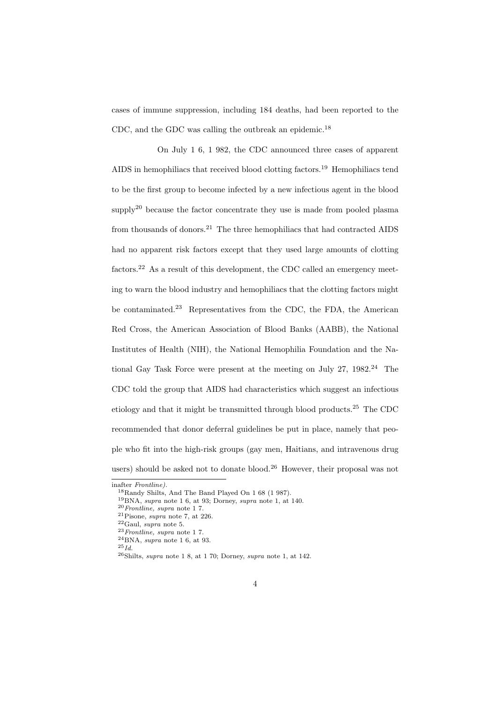cases of immune suppression, including 184 deaths, had been reported to the CDC, and the GDC was calling the outbreak an epidemic.<sup>18</sup>

On July 1 6, 1 982, the CDC announced three cases of apparent AIDS in hemophiliacs that received blood clotting factors.<sup>19</sup> Hemophiliacs tend to be the first group to become infected by a new infectious agent in the blood  $\text{supply}^{20}$  because the factor concentrate they use is made from pooled plasma from thousands of donors.<sup>21</sup> The three hemophiliacs that had contracted AIDS had no apparent risk factors except that they used large amounts of clotting factors.<sup>22</sup> As a result of this development, the CDC called an emergency meeting to warn the blood industry and hemophiliacs that the clotting factors might be contaminated.<sup>23</sup> Representatives from the CDC, the FDA, the American Red Cross, the American Association of Blood Banks (AABB), the National Institutes of Health (NIH), the National Hemophilia Foundation and the National Gay Task Force were present at the meeting on July 27,  $1982<sup>24</sup>$  The CDC told the group that AIDS had characteristics which suggest an infectious etiology and that it might be transmitted through blood products.<sup>25</sup> The CDC recommended that donor deferral guidelines be put in place, namely that people who fit into the high-risk groups (gay men, Haitians, and intravenous drug users) should be asked not to donate blood.<sup>26</sup> However, their proposal was not

inafter Frontline).

<sup>18</sup>Randy Shilts, And The Band Played On 1 68 (1 987).

<sup>19</sup>BNA, supra note 1 6, at 93; Dorney, supra note 1, at 140.

 $20$  Frontline, supra note 17.

<sup>&</sup>lt;sup>21</sup>Pisone, *supra* note 7, at 226.

 $^{22}$ Gaul, *supra* note 5.

 $^{23}$  Frontline, supra note 17.

 $^{24}\mathrm{BNA},$   $supra$  note 1 6, at 93.

 $^{25}Id.$ 

 $26$ Shilts, supra note 1 8, at 1 70; Dorney, supra note 1, at 142.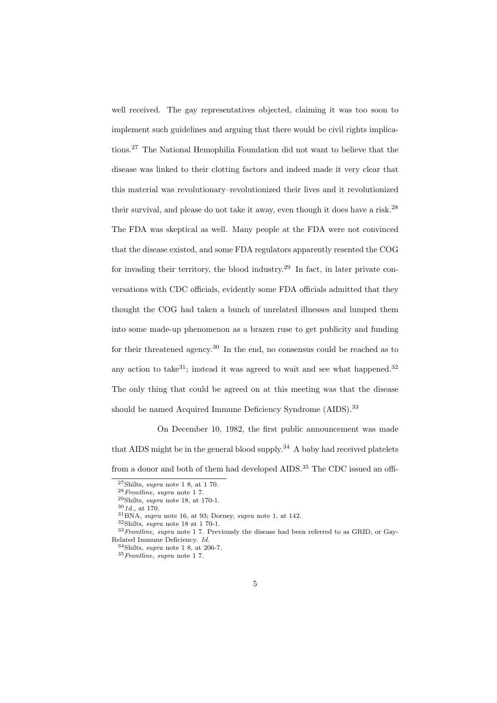well received. The gay representatives objected, claiming it was too soon to implement such guidelines and arguing that there would be civil rights implications.<sup>27</sup> The National Hemophilia Foundation did not want to believe that the disease was linked to their clotting factors and indeed made it very clear that this material was revolutionary–revolutionized their lives and it revolutionized their survival, and please do not take it away, even though it does have a risk.<sup>28</sup> The FDA was skeptical as well. Many people at the FDA were not convinced that the disease existed, and some FDA regulators apparently resented the COG for invading their territory, the blood industry.<sup>29</sup> In fact, in later private conversations with CDC officials, evidently some FDA officials admitted that they thought the COG had taken a bunch of unrelated illnesses and lumped them into some made-up phenomenon as a brazen ruse to get publicity and funding for their threatened agency.<sup>30</sup> In the end, no consensus could be reached as to any action to take<sup>31</sup>; instead it was agreed to wait and see what happened.<sup>32</sup> The only thing that could be agreed on at this meeting was that the disease should be named Acquired Immune Deficiency Syndrome (AIDS).<sup>33</sup>

On December 10, 1982, the first public announcement was made that AIDS might be in the general blood supply.<sup>34</sup> A baby had received platelets from a donor and both of them had developed AIDS.<sup>35</sup> The CDC issued an offi-

 $27\text{Shilts}, \text{supra note} 18, \text{at} 170.$ 

 $28$  Frontline, supra note 17.

 $29\text{Shilts}, \text{supra}$  note 18, at 170-1.

 $301d.$ , at 170.

 ${}^{31}$ BNA, supra note 16, at 93; Dorney, supra note 1, at 142.

 $^{32}{\rm Shilts},$   $supra$  note 18 at 1 70-1.

<sup>&</sup>lt;sup>33</sup> Frontline, supra note 1 7. Previously the disease had been referred to as GRID, or Gay-Related Immune Deficiency. Id.

 $34$ Shilts, supra note 1 8, at 206-7.

 $35$  Frontline, supra note 17.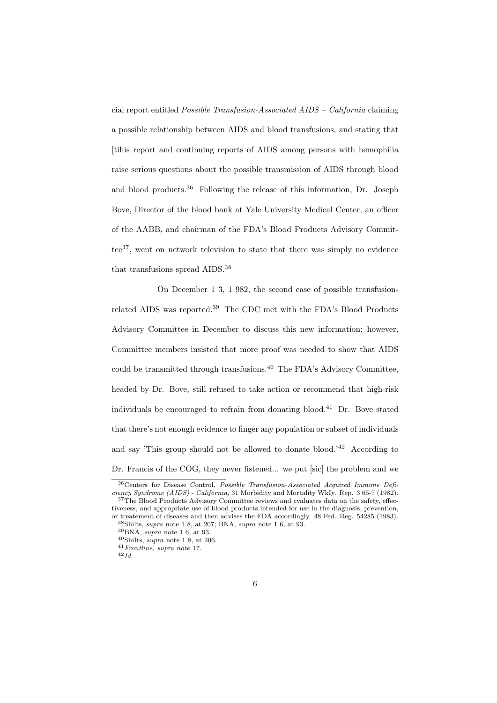cial report entitled Possible Transfusion-Associated AIDS – California claiming a possible relationship between AIDS and blood transfusions, and stating that [tihis report and continuing reports of AIDS among persons with hemophilia raise serious questions about the possible transmission of AIDS through blood and blood products.<sup>36</sup> Following the release of this information, Dr. Joseph Bove, Director of the blood bank at Yale University Medical Center, an officer of the AABB, and chairman of the FDA's Blood Products Advisory Committee<sup>37</sup>, went on network television to state that there was simply no evidence that transfusions spread AIDS.<sup>38</sup>

On December 1 3, 1 982, the second case of possible transfusionrelated AIDS was reported.<sup>39</sup> The CDC met with the FDA's Blood Products Advisory Committee in December to discuss this new information; however, Committee members insisted that more proof was needed to show that AIDS could be transmitted through transfusions.<sup>40</sup> The FDA's Advisory Committee, headed by Dr. Bove, still refused to take action or recommend that high-risk individuals be encouraged to refrain from donating blood.<sup>41</sup> Dr. Bove stated that there's not enough evidence to finger any population or subset of individuals and say 'This group should not be allowed to donate blood.<sup>'42</sup> According to Dr. Francis of the COG, they never listened... we put [sic] the problem and we

<sup>36</sup>Centers for Disease Control, Possible Transfusion-Associated Acquired Immune Deficiency Syndrome (AIDS) - California, 31 Morbidity and Mortality WkIy. Rep. 3 65-7 (1982). <sup>37</sup>The Blood Products Advisory Committee reviews and evaluates data on the safety, effec-

tiveness, and appropriate use of blood products intended for use in the diagnosis, prevention, or treatement of diseases and then advises the FDA accordingly. 48 Fed. Reg. 54285 (1983).  $38\text{Shilts}, \text{supra note} 18, \text{at } 207; \text{BNA}, \text{supra note} 16, \text{at } 93.$ 

 $39BNA$ , supra note 1 6, at 93.

 $\rm{^{40}Shilts},$   $\it{supra}$  note 1 8, at 206.

<sup>41</sup>Frontline, supra note 17.

 $42$  Id.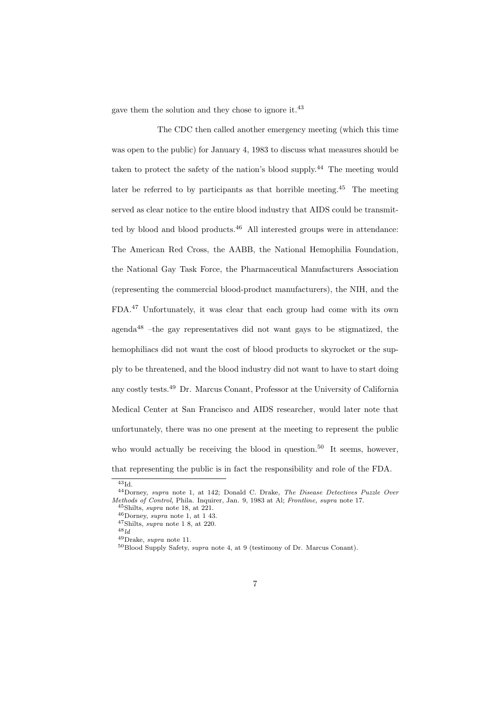gave them the solution and they chose to ignore it.<sup>43</sup>

The CDC then called another emergency meeting (which this time was open to the public) for January 4, 1983 to discuss what measures should be taken to protect the safety of the nation's blood supply.<sup>44</sup> The meeting would later be referred to by participants as that horrible meeting.<sup>45</sup> The meeting served as clear notice to the entire blood industry that AIDS could be transmitted by blood and blood products.<sup>46</sup> All interested groups were in attendance: The American Red Cross, the AABB, the National Hemophilia Foundation, the National Gay Task Force, the Pharmaceutical Manufacturers Association (representing the commercial blood-product manufacturers), the NIH, and the FDA.<sup>47</sup> Unfortunately, it was clear that each group had come with its own agenda $48$  –the gay representatives did not want gays to be stigmatized, the hemophiliacs did not want the cost of blood products to skyrocket or the supply to be threatened, and the blood industry did not want to have to start doing any costly tests.<sup>49</sup> Dr. Marcus Conant, Professor at the University of California Medical Center at San Francisco and AIDS researcher, would later note that unfortunately, there was no one present at the meeting to represent the public who would actually be receiving the blood in question.<sup>50</sup> It seems, however, that representing the public is in fact the responsibility and role of the FDA.

<sup>49</sup>Drake, supra note 11.

 $43Id$ 

<sup>44</sup>Dorney, supra note 1, at 142; Donald C. Drake, The Disease Detectives Puzzle Over Methods of Control, Phila. Inquirer, Jan. 9, 1983 at Al; Frontline, supra note 17.

 $45$ Shilts, supra note 18, at 221.

<sup>46</sup>Dorney, supra note 1, at 1 43.

 $47\text{Shilts}, \text{supra note} 1, 8, \text{at } 220.$ 

 $^{48}$ ld

<sup>50</sup>Blood Supply Safety, supra note 4, at 9 (testimony of Dr. Marcus Conant).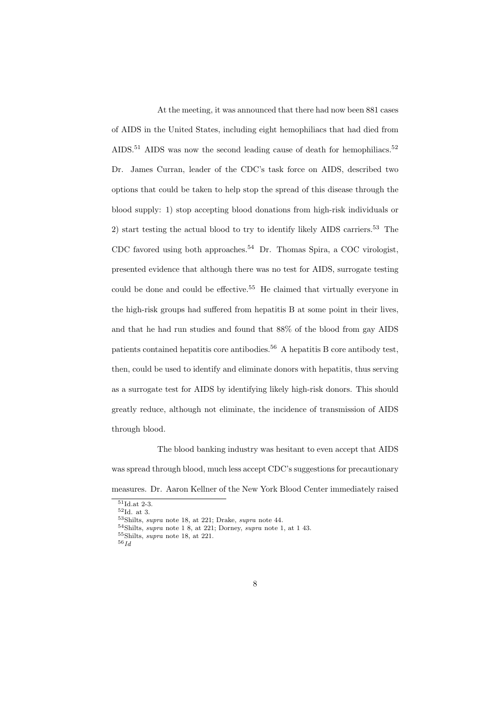At the meeting, it was announced that there had now been 881 cases of AIDS in the United States, including eight hemophiliacs that had died from AIDS.<sup>51</sup> AIDS was now the second leading cause of death for hemophiliacs.<sup>52</sup> Dr. James Curran, leader of the CDC's task force on AIDS, described two options that could be taken to help stop the spread of this disease through the blood supply: 1) stop accepting blood donations from high-risk individuals or 2) start testing the actual blood to try to identify likely AIDS carriers.<sup>53</sup> The CDC favored using both approaches.<sup>54</sup> Dr. Thomas Spira, a COC virologist, presented evidence that although there was no test for AIDS, surrogate testing could be done and could be effective.<sup>55</sup> He claimed that virtually everyone in the high-risk groups had suffered from hepatitis B at some point in their lives, and that he had run studies and found that 88% of the blood from gay AIDS patients contained hepatitis core antibodies.<sup>56</sup> A hepatitis B core antibody test, then, could be used to identify and eliminate donors with hepatitis, thus serving as a surrogate test for AIDS by identifying likely high-risk donors. This should greatly reduce, although not eliminate, the incidence of transmission of AIDS through blood.

The blood banking industry was hesitant to even accept that AIDS was spread through blood, much less accept CDC's suggestions for precautionary measures. Dr. Aaron Kellner of the New York Blood Center immediately raised

<sup>51</sup>Id.at 2-3.

 $^{52}\mathrm{Id.}$  at 3.

<sup>53</sup>Shilts, supra note 18, at 221; Drake, supra note 44.

 $54$ Shilts, supra note 1 8, at 221; Dorney, supra note 1, at 1 43.

<sup>55</sup>Shilts, supra note 18, at 221.

 $^{56} \mathit{Id}$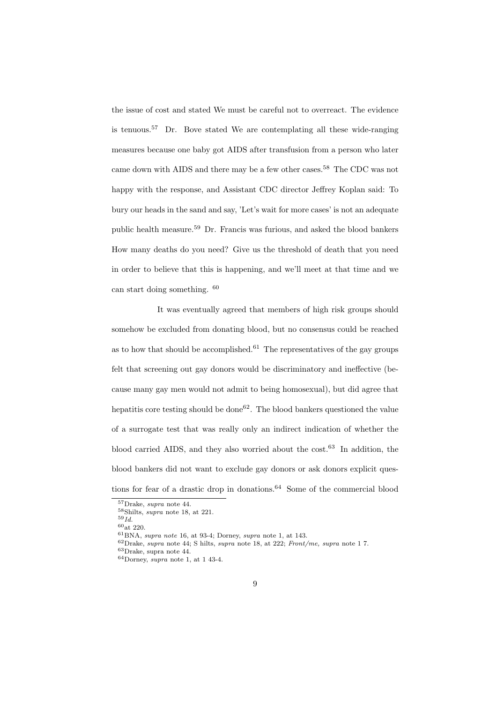the issue of cost and stated We must be careful not to overreact. The evidence is tenuous.<sup>57</sup> Dr. Bove stated We are contemplating all these wide-ranging measures because one baby got AIDS after transfusion from a person who later came down with AIDS and there may be a few other cases.<sup>58</sup> The CDC was not happy with the response, and Assistant CDC director Jeffrey Koplan said: To bury our heads in the sand and say, 'Let's wait for more cases' is not an adequate public health measure.<sup>59</sup> Dr. Francis was furious, and asked the blood bankers How many deaths do you need? Give us the threshold of death that you need in order to believe that this is happening, and we'll meet at that time and we can start doing something. <sup>60</sup>

It was eventually agreed that members of high risk groups should somehow be excluded from donating blood, but no consensus could be reached as to how that should be accomplished.<sup>61</sup> The representatives of the gay groups felt that screening out gay donors would be discriminatory and ineffective (because many gay men would not admit to being homosexual), but did agree that hepatitis core testing should be done<sup>62</sup>. The blood bankers questioned the value of a surrogate test that was really only an indirect indication of whether the blood carried AIDS, and they also worried about the cost.<sup>63</sup> In addition, the blood bankers did not want to exclude gay donors or ask donors explicit questions for fear of a drastic drop in donations.<sup>64</sup> Some of the commercial blood

<sup>57</sup>Drake, supra note 44.

<sup>58</sup>Shilts, supra note 18, at 221.

 $^{59}\bar{Id}.$ 

 $60$  at 220.

 ${}^{61}$ BNA, supra note 16, at 93-4; Dorney, supra note 1, at 143.

 $62$ Drake, supra note 44; S hilts, supra note 18, at 222; Front/me, supra note 17.

<sup>63</sup>Drake, supra note 44.

 $64$ Dorney, supra note 1, at 1 43-4.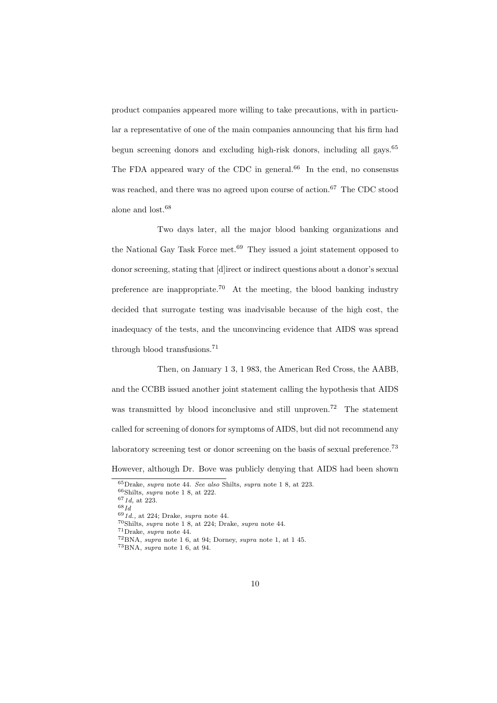product companies appeared more willing to take precautions, with in particular a representative of one of the main companies announcing that his firm had begun screening donors and excluding high-risk donors, including all gays.<sup>65</sup> The FDA appeared wary of the CDC in general.<sup>66</sup> In the end, no consensus was reached, and there was no agreed upon course of action.<sup>67</sup> The CDC stood alone and lost.<sup>68</sup>

Two days later, all the major blood banking organizations and the National Gay Task Force met.<sup>69</sup> They issued a joint statement opposed to donor screening, stating that [d]irect or indirect questions about a donor's sexual preference are inappropriate.<sup>70</sup> At the meeting, the blood banking industry decided that surrogate testing was inadvisable because of the high cost, the inadequacy of the tests, and the unconvincing evidence that AIDS was spread through blood transfusions.<sup>71</sup>

Then, on January 1 3, 1 983, the American Red Cross, the AABB, and the CCBB issued another joint statement calling the hypothesis that AIDS was transmitted by blood inconclusive and still unproven.<sup>72</sup> The statement called for screening of donors for symptoms of AIDS, but did not recommend any laboratory screening test or donor screening on the basis of sexual preference.<sup>73</sup> However, although Dr. Bove was publicly denying that AIDS had been shown

 $^{68} \! \, Id$ 

<sup>65</sup>Drake, supra note 44. See also Shilts, supra note 1 8, at 223.

 $66$ Shilts, *supra* note 1 8, at 222.

 $671d$ , at 223.

 $691d.$ , at 224; Drake, supra note 44.

<sup>70</sup>Shilts, supra note 1 8, at 224; Drake, supra note 44.

<sup>71</sup>Drake, supra note 44.

 $72BNA$ , supra note 1 6, at 94; Dorney, supra note 1, at 1 45.

<sup>73</sup>BNA, supra note 1 6, at 94.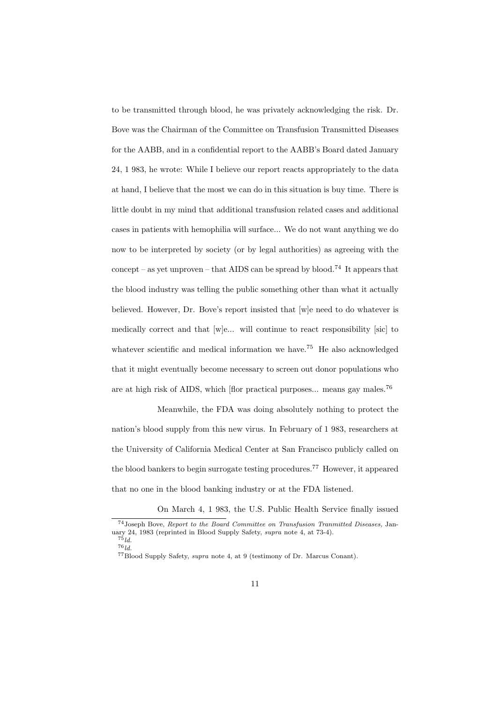to be transmitted through blood, he was privately acknowledging the risk. Dr. Bove was the Chairman of the Committee on Transfusion Transmitted Diseases for the AABB, and in a confidential report to the AABB's Board dated January 24, 1 983, he wrote: While I believe our report reacts appropriately to the data at hand, I believe that the most we can do in this situation is buy time. There is little doubt in my mind that additional transfusion related cases and additional cases in patients with hemophilia will surface... We do not want anything we do now to be interpreted by society (or by legal authorities) as agreeing with the concept – as yet unproven – that AIDS can be spread by blood.<sup>74</sup> It appears that the blood industry was telling the public something other than what it actually believed. However, Dr. Bove's report insisted that [w]e need to do whatever is medically correct and that [w]e... will continue to react responsibility [sic] to whatever scientific and medical information we have.<sup>75</sup> He also acknowledged that it might eventually become necessary to screen out donor populations who are at high risk of AIDS, which [flor practical purposes... means gay males.<sup>76</sup>

Meanwhile, the FDA was doing absolutely nothing to protect the nation's blood supply from this new virus. In February of 1 983, researchers at the University of California Medical Center at San Francisco publicly called on the blood bankers to begin surrogate testing procedures.<sup>77</sup> However, it appeared that no one in the blood banking industry or at the FDA listened.

On March 4, 1 983, the U.S. Public Health Service finally issued <sup>74</sup>Joseph Bove, Report to the Board Committee on Transfusion Tranmitted Diseases, January 24, 1983 (reprinted in Blood Supply Safety, supra note 4, at 73-4).

 $75$ ld.  $76$ ld.

<sup>77</sup>Blood Supply Safety, supra note 4, at 9 (testimony of Dr. Marcus Conant).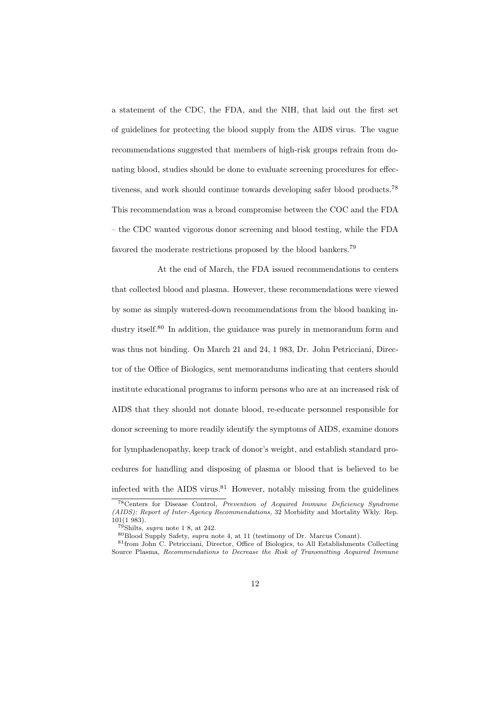a statement of the CDC, the FDA, and the NIH, that laid out the first set of guidelines for protecting the blood supply from the AIDS virus. The vague recommendations suggested that members of high-risk groups refrain from donating blood, studies should be done to evaluate screening procedures for effectiveness, and work should continue towards developing safer blood products.<sup>78</sup> This recommendation was a broad compromise between the COC and the FDA – the CDC wanted vigorous donor screening and blood testing, while the FDA favored the moderate restrictions proposed by the blood bankers.<sup>79</sup>

At the end of March, the FDA issued recommendations to centers that collected blood and plasma. However, these recommendations were viewed by some as simply watered-down recommendations from the blood banking industry itself.<sup>80</sup> In addition, the guidance was purely in memorandum form and was thus not binding. On March 21 and 24, 1 983, Dr. John Petricciani, Director of the Office of Biologics, sent memorandums indicating that centers should institute educational programs to inform persons who are at an increased risk of AIDS that they should not donate blood, re-educate personnel responsible for donor screening to more readily identify the symptoms of AIDS, examine donors for lymphadenopathy, keep track of donor's weight, and establish standard procedures for handling and disposing of plasma or blood that is believed to be infected with the AIDS virus. $81$  However, notably missing from the guidelines

<sup>78</sup>Centers for Disease Control, Prevention of Acquired Immune Deficiency Syndrome (AIDS): Report of Inter-Agency Recommendations, 32 Morbidity and Mortality Wkly. Rep.  $101(1983)$ .

 $79\text{Shilts}$ , supra note 1 8, at 242.

<sup>80</sup>Blood Supply Safety, supra note 4, at 11 (testimony of Dr. Marcus Conant).

<sup>81</sup>from John C. Petricciani, Director, Office of Biologics, to All Establishments Collecting Source Plasma, Recommendations to Decrease the Risk of Transmitting Acquired Immune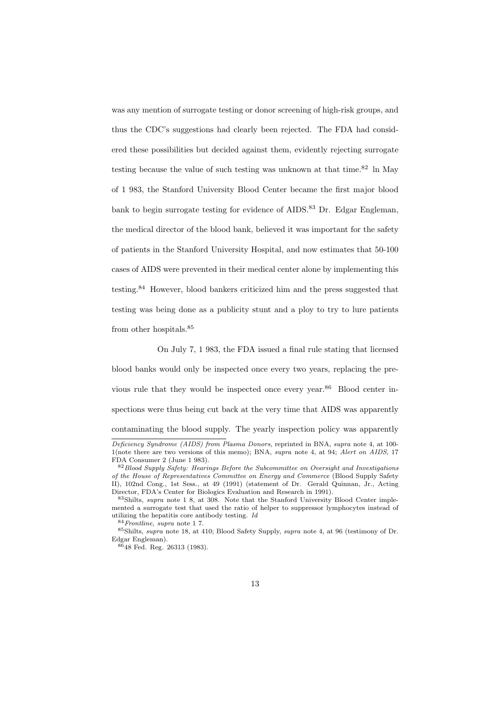was any mention of surrogate testing or donor screening of high-risk groups, and thus the CDC's suggestions had clearly been rejected. The FDA had considered these possibilities but decided against them, evidently rejecting surrogate testing because the value of such testing was unknown at that time.<sup>82</sup> ln May of 1 983, the Stanford University Blood Center became the first major blood bank to begin surrogate testing for evidence of AIDS.<sup>83</sup> Dr. Edgar Engleman, the medical director of the blood bank, believed it was important for the safety of patients in the Stanford University Hospital, and now estimates that 50-100 cases of AIDS were prevented in their medical center alone by implementing this testing.<sup>84</sup> However, blood bankers criticized him and the press suggested that testing was being done as a publicity stunt and a ploy to try to lure patients from other hospitals.<sup>85</sup>

On July 7, 1 983, the FDA issued a final rule stating that licensed blood banks would only be inspected once every two years, replacing the previous rule that they would be inspected once every year.<sup>86</sup> Blood center inspections were thus being cut back at the very time that AIDS was apparently contaminating the blood supply. The yearly inspection policy was apparently

Deficiency Syndrome (AIDS) from Plasma Donors, reprinted in BNA, supra note 4, at 100- 1(note there are two versions of this memo); BNA, supra note 4, at 94; Alert on AIDS, 17 FDA Consumer 2 (June 1 983).

 $82$  Blood Supply Safety: Hearings Before the Subcommittee on Oversight and Investigations of the House of Representatives Committee on Energy and Commerce (Blood Supply Safety II), 102nd Cong., 1st Sess., at 49 (1991) (statement of Dr. Gerald Quinnan, Jr., Acting Director, FDA's Center for Biologics Evaluation and Research in 1991).

<sup>83</sup>Shilts, supra note 1 8, at 308. Note that the Stanford University Blood Center implemented a surrogate test that used the ratio of helper to suppressor lymphocytes instead of utilizing the hepatitis core antibody testing. Id

 $^{84}Fronline, \, supra$  note 1 7.

<sup>85</sup>Shilts, supra note 18, at 410; Blood Safety Supply, supra note 4, at 96 (testimony of Dr. Edgar Engleman).

<sup>86</sup>48 Fed. Reg. 26313 (1983).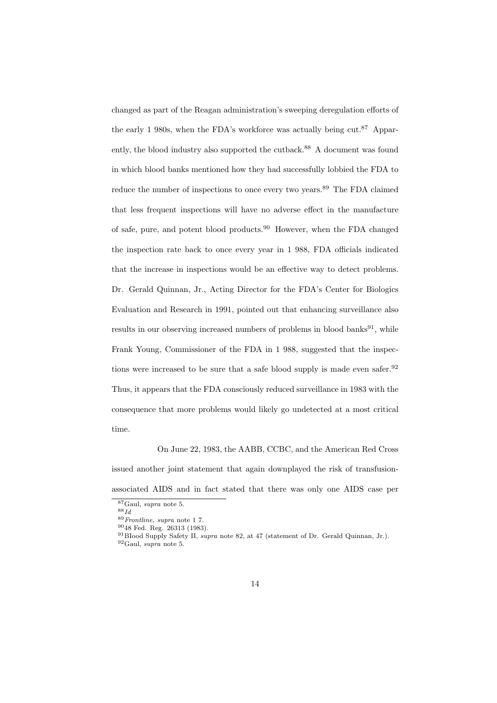changed as part of the Reagan administration's sweeping deregulation efforts of the early 1 980s, when the FDA's workforce was actually being cut.<sup>87</sup> Apparently, the blood industry also supported the cutback.<sup>88</sup> A document was found in which blood banks mentioned how they had successfully lobbied the FDA to reduce the number of inspections to once every two years.<sup>89</sup> The FDA claimed that less frequent inspections will have no adverse effect in the manufacture of safe, pure, and potent blood products.<sup>90</sup> However, when the FDA changed the inspection rate back to once every year in 1 988, FDA officials indicated that the increase in inspections would be an effective way to detect problems. Dr. Gerald Quinnan, Jr., Acting Director for the FDA's Center for Biologics Evaluation and Research in 1991, pointed out that enhancing surveillance also results in our observing increased numbers of problems in blood banks $91$ , while Frank Young, Commissioner of the FDA in 1 988, suggested that the inspections were increased to be sure that a safe blood supply is made even safer.<sup>92</sup> Thus, it appears that the FDA consciously reduced surveillance in 1983 with the consequence that more problems would likely go undetected at a most critical time.

#### On June 22, 1983, the AABB, CCBC, and the American Red Cross

issued another joint statement that again downplayed the risk of transfusionassociated AIDS and in fact stated that there was only one AIDS case per

<sup>87</sup>Gaul, supra note 5.

 $88$ Id

<sup>89</sup>Frontline, supra note 1 7.

<sup>90</sup>48 Fed. Reg. 26313 (1983).

<sup>91</sup>BIood Supply Safety II, supra note 82, at 47 (statement of Dr. Gerald Quinnan, Jr.).  $92$ Gaul, supra note 5.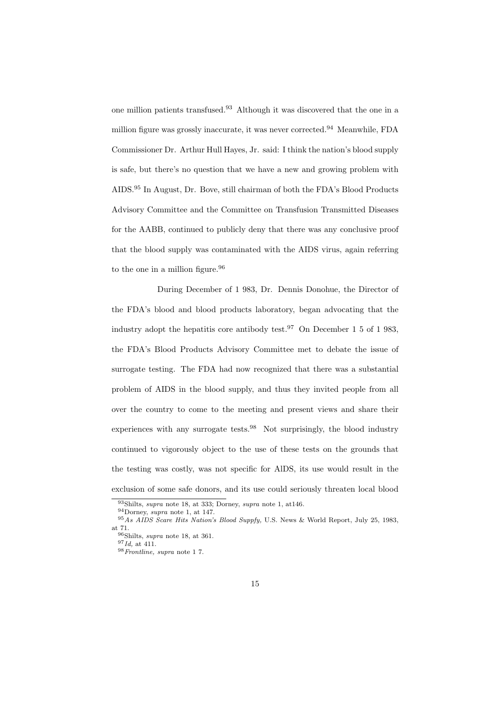one million patients transfused.<sup>93</sup> Although it was discovered that the one in a million figure was grossly inaccurate, it was never corrected.<sup>94</sup> Meanwhile, FDA Commissioner Dr. Arthur Hull Hayes, Jr. said: I think the nation's blood supply is safe, but there's no question that we have a new and growing problem with AIDS.<sup>95</sup> In August, Dr. Bove, still chairman of both the FDA's Blood Products Advisory Committee and the Committee on Transfusion Transmitted Diseases for the AABB, continued to publicly deny that there was any conclusive proof that the blood supply was contaminated with the AIDS virus, again referring to the one in a million figure.<sup>96</sup>

During December of 1 983, Dr. Dennis Donohue, the Director of the FDA's blood and blood products laboratory, began advocating that the industry adopt the hepatitis core antibody test.<sup>97</sup> On December 1 5 of 1 983, the FDA's Blood Products Advisory Committee met to debate the issue of surrogate testing. The FDA had now recognized that there was a substantial problem of AIDS in the blood supply, and thus they invited people from all over the country to come to the meeting and present views and share their experiences with any surrogate tests.<sup>98</sup> Not surprisingly, the blood industry continued to vigorously object to the use of these tests on the grounds that the testing was costly, was not specific for AlDS, its use would result in the exclusion of some safe donors, and its use could seriously threaten local blood

<sup>93</sup>Shilts, supra note 18, at 333; Dorney, supra note 1, at146.

<sup>94</sup>Dorney, supra note 1, at 147.

<sup>&</sup>lt;sup>95</sup>As AIDS Scare Hits Nation's Blood Suppfy, U.S. News & World Report, July 25, 1983, at 71.

<sup>96</sup>Shilts, supra note 18, at 361.

 $^{97} \mathit{Id},$  at 411.

<sup>98</sup>Frontline, supra note 1 7.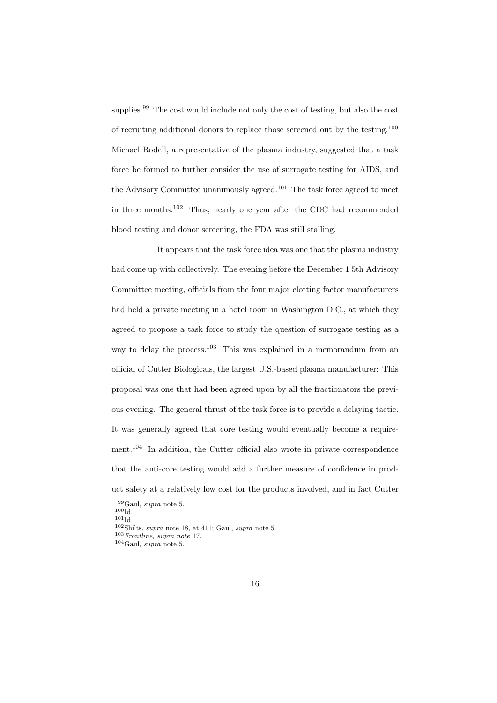supplies.<sup>99</sup> The cost would include not only the cost of testing, but also the cost of recruiting additional donors to replace those screened out by the testing.<sup>100</sup> Michael Rodell, a representative of the plasma industry, suggested that a task force be formed to further consider the use of surrogate testing for AIDS, and the Advisory Committee unanimously agreed.<sup>101</sup> The task force agreed to meet in three months.<sup>102</sup> Thus, nearly one year after the CDC had recommended blood testing and donor screening, the FDA was still stalling.

It appears that the task force idea was one that the plasma industry had come up with collectively. The evening before the December 1 5th Advisory Committee meeting, officials from the four major clotting factor manufacturers had held a private meeting in a hotel room in Washington D.C., at which they agreed to propose a task force to study the question of surrogate testing as a way to delay the process.<sup>103</sup> This was explained in a memorandum from an official of Cutter Biologicals, the largest U.S.-based plasma manufacturer: This proposal was one that had been agreed upon by all the fractionators the previous evening. The general thrust of the task force is to provide a delaying tactic. It was generally agreed that core testing would eventually become a requirement.<sup>104</sup> In addition, the Cutter official also wrote in private correspondence that the anti-core testing would add a further measure of confidence in product safety at a relatively low cost for the products involved, and in fact Cutter

<sup>99</sup>Gaul, supra note 5.

 $100\mathrm{Id}$ .

 $101$ Id.

 $102\text{Shilts}, \text{supra note } 18, \text{at } 411; \text{ Gaul}, \text{supra note } 5.$ 

 $\,$ 103 Frontline, supra note 17.

<sup>104</sup>Gaul, supra note 5.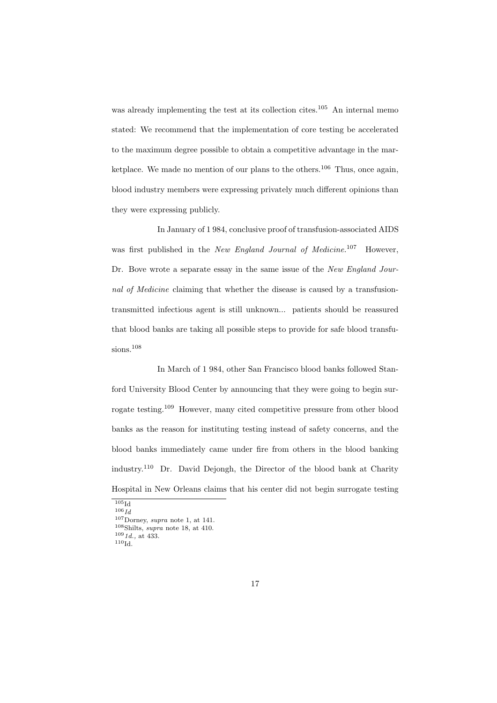was already implementing the test at its collection cites.<sup>105</sup> An internal memo stated: We recommend that the implementation of core testing be accelerated to the maximum degree possible to obtain a competitive advantage in the marketplace. We made no mention of our plans to the others.<sup>106</sup> Thus, once again, blood industry members were expressing privately much different opinions than they were expressing publicly.

In January of 1 984, conclusive proof of transfusion-associated AIDS was first published in the New England Journal of Medicine.<sup>107</sup> However, Dr. Bove wrote a separate essay in the same issue of the New England Journal of Medicine claiming that whether the disease is caused by a transfusiontransmitted infectious agent is still unknown... patients should be reassured that blood banks are taking all possible steps to provide for safe blood transfusions.<sup>108</sup>

In March of 1 984, other San Francisco blood banks followed Stanford University Blood Center by announcing that they were going to begin surrogate testing.<sup>109</sup> However, many cited competitive pressure from other blood banks as the reason for instituting testing instead of safety concerns, and the blood banks immediately came under fire from others in the blood banking industry.<sup>110</sup> Dr. David Dejongh, the Director of the blood bank at Charity Hospital in New Orleans claims that his center did not begin surrogate testing

 $105$ Id  $106$ *Id* 

 $107$ Dorney, supra note 1, at 141.

<sup>108</sup>Shilts, supra note 18, at 410.

 $109$   $1d$ ., at 433.

 $^{110}\mathrm{Id}.$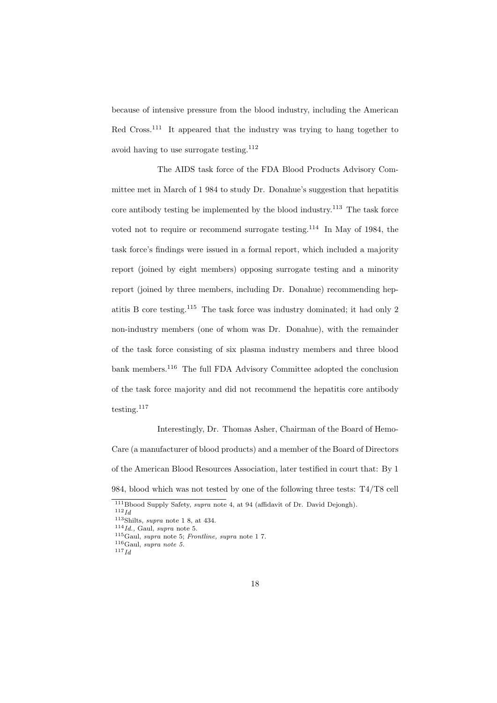because of intensive pressure from the blood industry, including the American Red Cross.<sup>111</sup> It appeared that the industry was trying to hang together to avoid having to use surrogate testing.  $\rm ^{112}$ 

The AIDS task force of the FDA Blood Products Advisory Committee met in March of 1 984 to study Dr. Donahue's suggestion that hepatitis core antibody testing be implemented by the blood industry.<sup>113</sup> The task force voted not to require or recommend surrogate testing.<sup>114</sup> In May of 1984, the task force's findings were issued in a formal report, which included a majority report (joined by eight members) opposing surrogate testing and a minority report (joined by three members, including Dr. Donahue) recommending hepatitis B core testing.<sup>115</sup> The task force was industry dominated; it had only 2 non-industry members (one of whom was Dr. Donahue), with the remainder of the task force consisting of six plasma industry members and three blood bank members.<sup>116</sup> The full FDA Advisory Committee adopted the conclusion of the task force majority and did not recommend the hepatitis core antibody testing.<sup>117</sup>

Interestingly, Dr. Thomas Asher, Chairman of the Board of Hemo-Care (a manufacturer of blood products) and a member of the Board of Directors of the American Blood Resources Association, later testified in court that: By 1 984, blood which was not tested by one of the following three tests: T4/T8 cell

<sup>&</sup>lt;sup>111</sup>Bbood Supply Safety, *supra* note 4, at 94 (affidavit of Dr. David Dejongh).

 $112 \, Id$ 

 $113$ Shilts, *supra* note 1 8, at 434.

 $^{114} \tilde{I}$ d., Gaul, supra note 5.

<sup>115</sup>Gaul, supra note 5; Frontline, supra note 1 7.

 $116$ Gaul, supra note 5.

 $117\overline{Id}$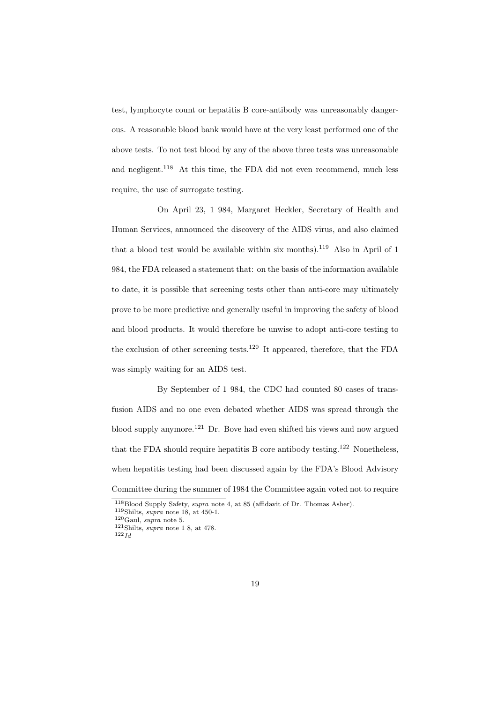test, lymphocyte count or hepatitis B core-antibody was unreasonably dangerous. A reasonable blood bank would have at the very least performed one of the above tests. To not test blood by any of the above three tests was unreasonable and negligent.<sup>118</sup> At this time, the FDA did not even recommend, much less require, the use of surrogate testing.

On April 23, 1 984, Margaret Heckler, Secretary of Health and Human Services, announced the discovery of the AIDS virus, and also claimed that a blood test would be available within six months).<sup>119</sup> Also in April of 1 984, the FDA released a statement that: on the basis of the information available to date, it is possible that screening tests other than anti-core may ultimately prove to be more predictive and generally useful in improving the safety of blood and blood products. It would therefore be unwise to adopt anti-core testing to the exclusion of other screening tests.<sup>120</sup> It appeared, therefore, that the FDA was simply waiting for an AIDS test.

By September of 1 984, the CDC had counted 80 cases of transfusion AIDS and no one even debated whether AIDS was spread through the blood supply anymore.<sup>121</sup> Dr. Bove had even shifted his views and now argued that the FDA should require hepatitis B core antibody testing.<sup>122</sup> Nonetheless, when hepatitis testing had been discussed again by the FDA's Blood Advisory Committee during the summer of 1984 the Committee again voted not to require

<sup>118</sup>Blood Supply Safety, supra note 4, at 85 (affidavit of Dr. Thomas Asher).

 $^{119}{\rm Shilts},$   $supra$  note 18, at 450-1.

 $^{120}\mathrm{Gaul},$  supra note 5.

 $121$ Shilts, supra note 1 8, at 478.

 $122$   $Id$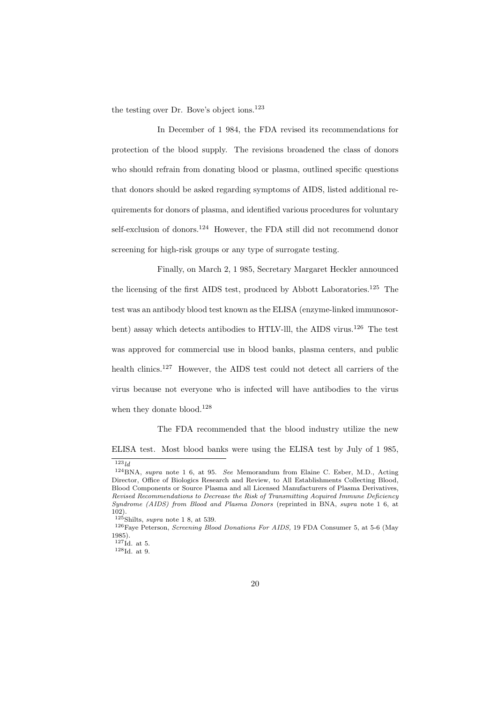the testing over Dr. Bove's object ions.<sup>123</sup>

In December of 1 984, the FDA revised its recommendations for protection of the blood supply. The revisions broadened the class of donors who should refrain from donating blood or plasma, outlined specific questions that donors should be asked regarding symptoms of AIDS, listed additional requirements for donors of plasma, and identified various procedures for voluntary self-exclusion of donors.<sup>124</sup> However, the FDA still did not recommend donor screening for high-risk groups or any type of surrogate testing.

Finally, on March 2, 1 985, Secretary Margaret Heckler announced the licensing of the first AIDS test, produced by Abbott Laboratories.<sup>125</sup> The test was an antibody blood test known as the ELISA (enzyme-linked immunosorbent) assay which detects antibodies to HTLV-lll, the AIDS virus.<sup>126</sup> The test was approved for commercial use in blood banks, plasma centers, and public health clinics.<sup>127</sup> However, the AIDS test could not detect all carriers of the virus because not everyone who is infected will have antibodies to the virus when they donate blood.<sup>128</sup>

The FDA recommended that the blood industry utilize the new

ELISA test. Most blood banks were using the ELISA test by July of 1 985,

 $123$ ld

<sup>124</sup>BNA, supra note 1 6, at 95. See Memorandum from Elaine C. Esber, M.D., Acting Director, Office of Biologics Research and Review, to All Establishments Collecting Blood, Blood Components or Source Plasma and all Licensed Manufacturers of Plasma Derivatives, Revised Recommendations to Decrease the Risk of Transmitting Acquired Immune Deficiency Syndrome (AIDS) from Blood and Plasma Donors (reprinted in BNA, supra note 1 6, at 102).

 $\frac{125}{125}$ Shilts, *supra* note 1 8, at 539.

<sup>126</sup>Faye Peterson, Screening Blood Donations For AIDS, 19 FDA Consumer 5, at 5-6 (May 1985).

 $127$ Id. at 5.

<sup>128</sup>Id. at 9.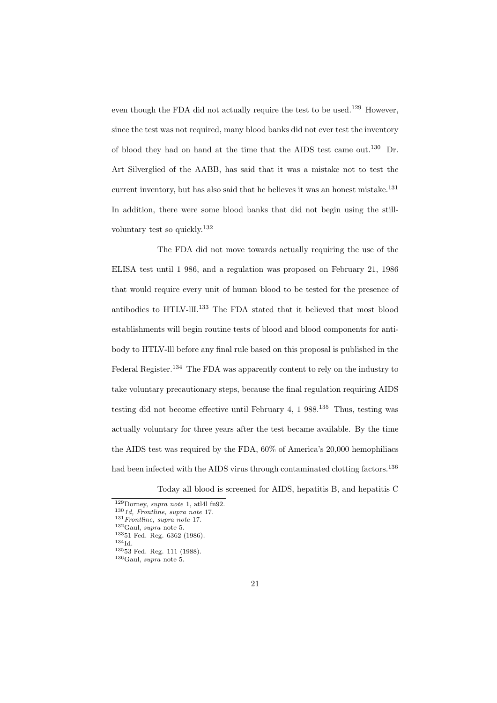even though the FDA did not actually require the test to be used.<sup>129</sup> However, since the test was not required, many blood banks did not ever test the inventory of blood they had on hand at the time that the AIDS test came out.<sup>130</sup> Dr. Art Silverglied of the AABB, has said that it was a mistake not to test the current inventory, but has also said that he believes it was an honest mistake.<sup>131</sup> In addition, there were some blood banks that did not begin using the stillvoluntary test so quickly.<sup>132</sup>

The FDA did not move towards actually requiring the use of the ELISA test until 1 986, and a regulation was proposed on February 21, 1986 that would require every unit of human blood to be tested for the presence of antibodies to HTLV-llI.<sup>133</sup> The FDA stated that it believed that most blood establishments will begin routine tests of blood and blood components for antibody to HTLV-lll before any final rule based on this proposal is published in the Federal Register.<sup>134</sup> The FDA was apparently content to rely on the industry to take voluntary precautionary steps, because the final regulation requiring AIDS testing did not become effective until February 4, 1 988.<sup>135</sup> Thus, testing was actually voluntary for three years after the test became available. By the time the AIDS test was required by the FDA, 60% of America's 20,000 hemophiliacs had been infected with the AIDS virus through contaminated clotting factors.<sup>136</sup>

Today all blood is screened for AIDS, hepatitis B, and hepatitis C

 $^{134}\mathrm{Id}.$ 

 $129$ Dorney, supra note 1, atl4l fn92.

 $1301d$ , Frontline, supra note 17.

 $131$  Frontline, supra note 17.

 $132$ Gaul, *supra* note 5.

<sup>133</sup>51 Fed. Reg. 6362 (1986).

 $^{135}53$  Fed. Reg. 111 (1988).

 $^{136}\mathrm{Gaul},$   $supra$  note 5.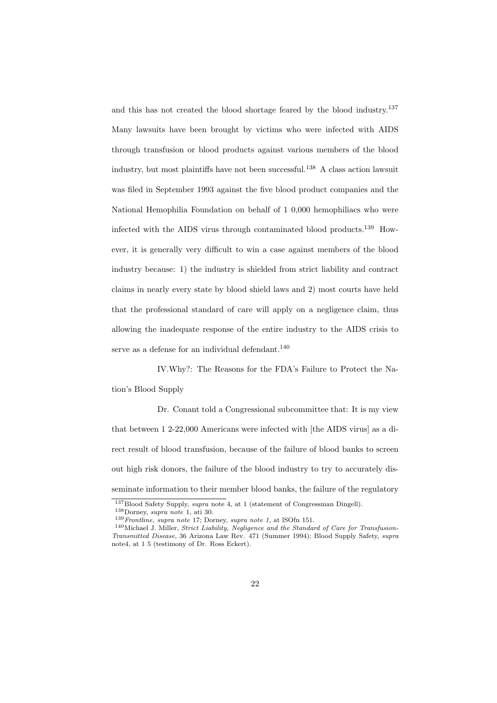and this has not created the blood shortage feared by the blood industry.<sup>137</sup> Many lawsuits have been brought by victims who were infected with AIDS through transfusion or blood products against various members of the blood industry, but most plaintiffs have not been successful.<sup>138</sup> A class action lawsuit was filed in September 1993 against the five blood product companies and the National Hemophilia Foundation on behalf of 1 0,000 hemophiliacs who were infected with the AIDS virus through contaminated blood products.<sup>139</sup> However, it is generally very difficult to win a case against members of the blood industry because: 1) the industry is shielded from strict liability and contract claims in nearly every state by blood shield laws and 2) most courts have held that the professional standard of care will apply on a negligence claim, thus allowing the inadequate response of the entire industry to the AIDS crisis to serve as a defense for an individual defendant. $140$ 

IV.Why?: The Reasons for the FDA's Failure to Protect the Nation's Blood Supply

Dr. Conant told a Congressional subcommittee that: It is my view that between 1 2-22,000 Americans were infected with [the AIDS virus] as a direct result of blood transfusion, because of the failure of blood banks to screen out high risk donors, the failure of the blood industry to try to accurately disseminate information to their member blood banks, the failure of the regulatory

<sup>137</sup>Blood Safety Supply, supra note 4, at 1 (statement of Congressman Dingell).  $^{138}\rm{Dorney,}\,supra$  note 1, ati 30.

 $139$  Frontline, supra note 17; Dorney, supra note 1, at lSOfn 151.

<sup>140</sup>Michael J. Miller, Strict Liability, Negligence and the Standard of Care for Transfusion-Transmitted Disease, 36 Arizona Law Rev. 471 (Summer 1994); Blood Supply Safety, supra note4, at 1 5 (testimony of Dr. Ross Eckert).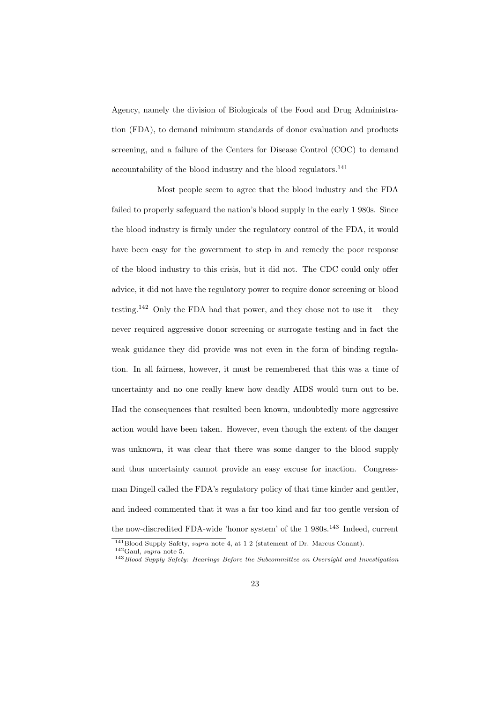Agency, namely the division of Biologicals of the Food and Drug Administration (FDA), to demand minimum standards of donor evaluation and products screening, and a failure of the Centers for Disease Control (COC) to demand accountability of the blood industry and the blood regulators.<sup>141</sup>

Most people seem to agree that the blood industry and the FDA failed to properly safeguard the nation's blood supply in the early 1 980s. Since the blood industry is firmly under the regulatory control of the FDA, it would have been easy for the government to step in and remedy the poor response of the blood industry to this crisis, but it did not. The CDC could only offer advice, it did not have the regulatory power to require donor screening or blood testing.<sup>142</sup> Only the FDA had that power, and they chose not to use it – they never required aggressive donor screening or surrogate testing and in fact the weak guidance they did provide was not even in the form of binding regulation. In all fairness, however, it must be remembered that this was a time of uncertainty and no one really knew how deadly AIDS would turn out to be. Had the consequences that resulted been known, undoubtedly more aggressive action would have been taken. However, even though the extent of the danger was unknown, it was clear that there was some danger to the blood supply and thus uncertainty cannot provide an easy excuse for inaction. Congressman Dingell called the FDA's regulatory policy of that time kinder and gentler, and indeed commented that it was a far too kind and far too gentle version of the now-discredited FDA-wide 'honor system' of the  $1\ 980\mathrm{s}.^{143}\,$  Indeed, current

<sup>141</sup>Blood Supply Safety, supra note 4, at 1 2 (statement of Dr. Marcus Conant).

<sup>142</sup>Gaul, supra note 5.

<sup>&</sup>lt;sup>143</sup> Blood Supply Safety: Hearings Before the Subcommittee on Oversight and Investigation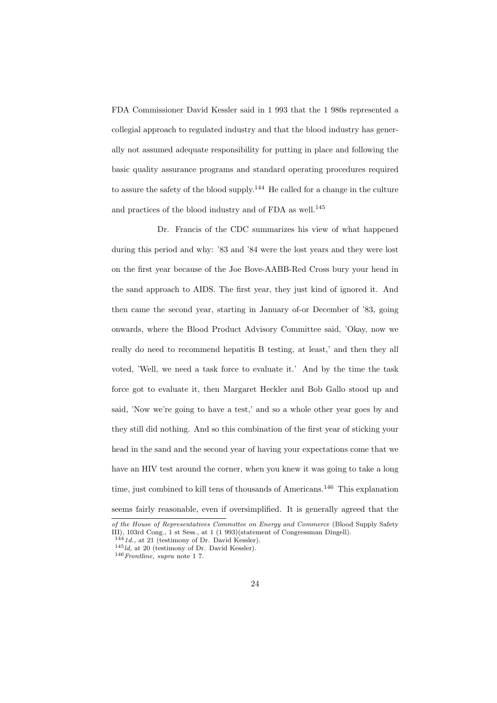FDA Commissioner David Kessler said in 1 993 that the 1 980s represented a collegial approach to regulated industry and that the blood industry has generally not assumed adequate responsibility for putting in place and following the basic quality assurance programs and standard operating procedures required to assure the safety of the blood supply.<sup>144</sup> He called for a change in the culture and practices of the blood industry and of FDA as well.<sup>145</sup>

Dr. Francis of the CDC summarizes his view of what happened during this period and why: '83 and '84 were the lost years and they were lost on the first year because of the Joe Bove-AABB-Red Cross bury your head in the sand approach to AIDS. The first year, they just kind of ignored it. And then came the second year, starting in January of-or December of '83, going onwards, where the Blood Product Advisory Committee said, 'Okay, now we really do need to recommend hepatitis B testing, at least,' and then they all voted, 'Well, we need a task force to evaluate it.' And by the time the task force got to evaluate it, then Margaret Heckler and Bob Gallo stood up and said, 'Now we're going to have a test,' and so a whole other year goes by and they still did nothing. And so this combination of the first year of sticking your head in the sand and the second year of having your expectations come that we have an HIV test around the corner, when you knew it was going to take a long time, just combined to kill tens of thousands of Americans.<sup>146</sup> This explanation seems fairly reasonable, even if oversimplified. It is generally agreed that the

of the House of Representatives Committee on Energy and Commerce (Blood Supply Safety III), 103rd Cong., 1 st Sess., at 1 (1 993)(statement of Congressman Dingell).

 $1441d$ ., at 21 (testimony of Dr. David Kessler).

 $145$ ld, at 20 (testimony of Dr. David Kessler).

 $146$  Frontline, supra note 17.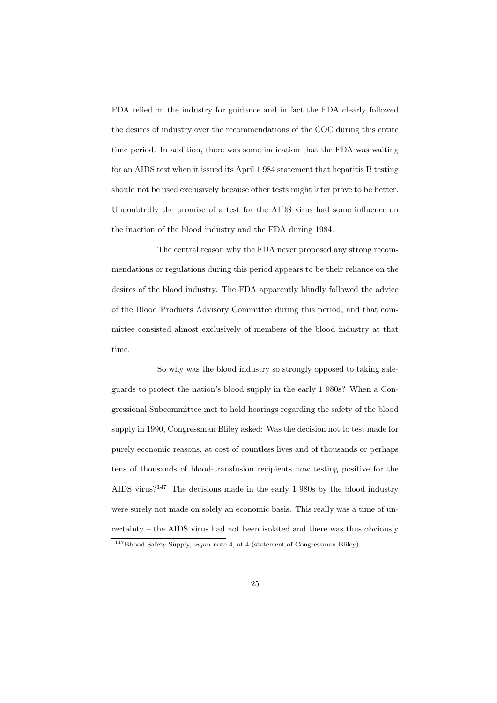FDA relied on the industry for guidance and in fact the FDA clearly followed the desires of industry over the recommendations of the COC during this entire time period. In addition, there was some indication that the FDA was waiting for an AIDS test when it issued its April 1 984 statement that hepatitis B testing should not be used exclusively because other tests might later prove to be better. Undoubtedly the promise of a test for the AIDS virus had some influence on the inaction of the blood industry and the FDA during 1984.

The central reason why the FDA never proposed any strong recommendations or regulations during this period appears to be their reliance on the desires of the blood industry. The FDA apparently blindly followed the advice of the Blood Products Advisory Committee during this period, and that committee consisted almost exclusively of members of the blood industry at that time.

So why was the blood industry so strongly opposed to taking safeguards to protect the nation's blood supply in the early 1 980s? When a Congressional Subcommittee met to hold hearings regarding the safety of the blood supply in 1990, Congressman Bliley asked: Was the decision not to test made for purely economic reasons, at cost of countless lives and of thousands or perhaps tens of thousands of blood-transfusion recipients now testing positive for the AIDS virus?<sup>147</sup> The decisions made in the early 1 980s by the blood industry were surely not made on solely an economic basis. This really was a time of uncertainty – the AIDS virus had not been isolated and there was thus obviously

<sup>&</sup>lt;sup>147</sup>Bbood Safety Supply, *supra* note 4, at 4 (statement of Congressman Bliley).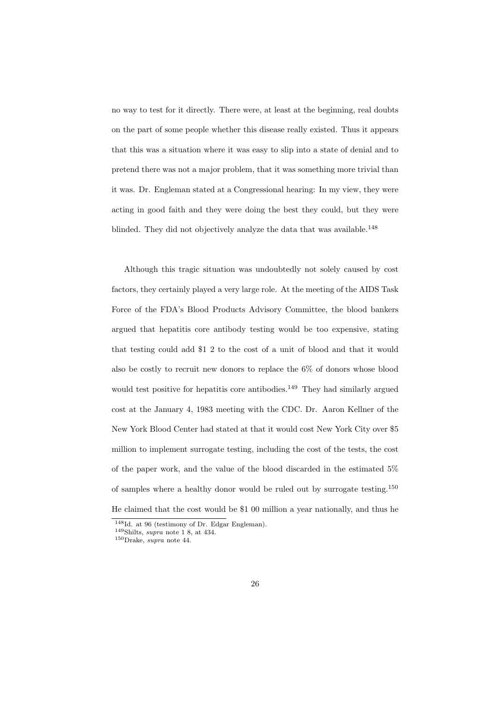no way to test for it directly. There were, at least at the beginning, real doubts on the part of some people whether this disease really existed. Thus it appears that this was a situation where it was easy to slip into a state of denial and to pretend there was not a major problem, that it was something more trivial than it was. Dr. Engleman stated at a Congressional hearing: In my view, they were acting in good faith and they were doing the best they could, but they were blinded. They did not objectively analyze the data that was available.<sup>148</sup>

Although this tragic situation was undoubtedly not solely caused by cost factors, they certainly played a very large role. At the meeting of the AIDS Task Force of the FDA's Blood Products Advisory Committee, the blood bankers argued that hepatitis core antibody testing would be too expensive, stating that testing could add \$1 2 to the cost of a unit of blood and that it would also be costly to recruit new donors to replace the 6% of donors whose blood would test positive for hepatitis core antibodies.<sup>149</sup> They had similarly argued cost at the January 4, 1983 meeting with the CDC. Dr. Aaron Kellner of the New York Blood Center had stated at that it would cost New York City over \$5 million to implement surrogate testing, including the cost of the tests, the cost of the paper work, and the value of the blood discarded in the estimated 5% of samples where a healthy donor would be ruled out by surrogate testing.<sup>150</sup> He claimed that the cost would be \$1 00 million a year nationally, and thus he

<sup>148</sup>Id. at 96 (testimony of Dr. Edgar Engleman).

 $149$ Shilts, supra note 1 8, at 434.

 $^{150}\mathrm{Drake},$   $supra$  note 44.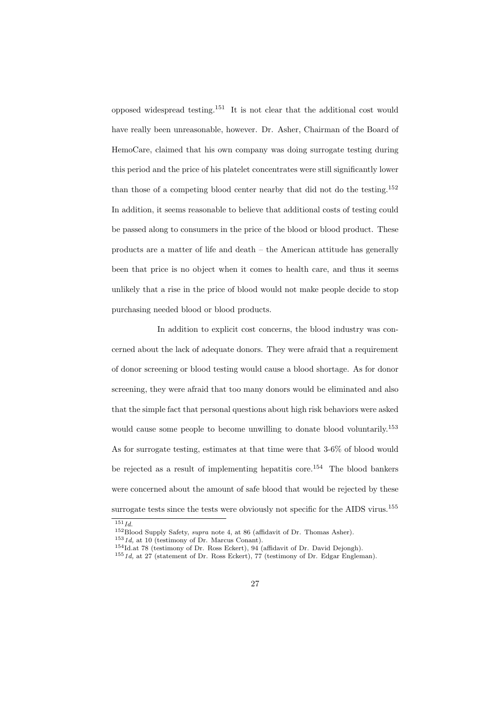opposed widespread testing.<sup>151</sup> It is not clear that the additional cost would have really been unreasonable, however. Dr. Asher, Chairman of the Board of HemoCare, claimed that his own company was doing surrogate testing during this period and the price of his platelet concentrates were still significantly lower than those of a competing blood center nearby that did not do the testing.<sup>152</sup> In addition, it seems reasonable to believe that additional costs of testing could be passed along to consumers in the price of the blood or blood product. These products are a matter of life and death – the American attitude has generally been that price is no object when it comes to health care, and thus it seems unlikely that a rise in the price of blood would not make people decide to stop purchasing needed blood or blood products.

In addition to explicit cost concerns, the blood industry was concerned about the lack of adequate donors. They were afraid that a requirement of donor screening or blood testing would cause a blood shortage. As for donor screening, they were afraid that too many donors would be eliminated and also that the simple fact that personal questions about high risk behaviors were asked would cause some people to become unwilling to donate blood voluntarily.<sup>153</sup> As for surrogate testing, estimates at that time were that 3-6% of blood would be rejected as a result of implementing hepatitis core.<sup>154</sup> The blood bankers were concerned about the amount of safe blood that would be rejected by these surrogate tests since the tests were obviously not specific for the AIDS virus.<sup>155</sup>

 $151$   $Id.$ 

<sup>152</sup>Blood Supply Safety, supra note 4, at 86 (affidavit of Dr. Thomas Asher).

 $1531d$ , at 10 (testimony of Dr. Marcus Conant).

<sup>154</sup>Id.at 78 (testimony of Dr. Ross Eckert), 94 (affidavit of Dr. David Dejongh).

 $1551d$ , at 27 (statement of Dr. Ross Eckert), 77 (testimony of Dr. Edgar Engleman).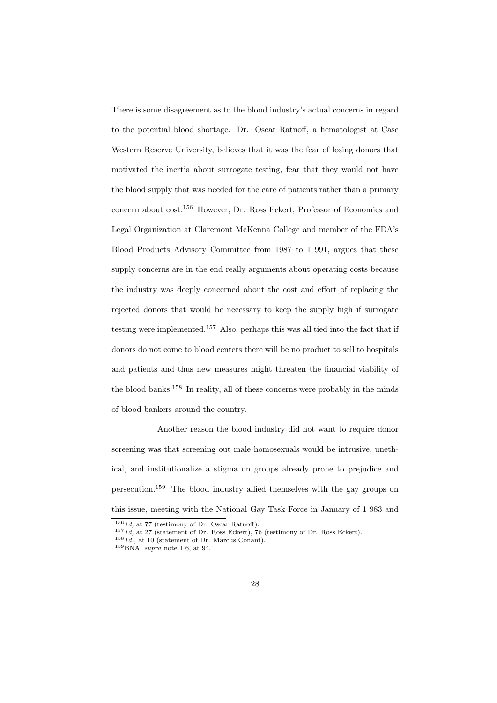There is some disagreement as to the blood industry's actual concerns in regard to the potential blood shortage. Dr. Oscar Ratnoff, a hematologist at Case Western Reserve University, believes that it was the fear of losing donors that motivated the inertia about surrogate testing, fear that they would not have the blood supply that was needed for the care of patients rather than a primary concern about cost.<sup>156</sup> However, Dr. Ross Eckert, Professor of Economics and Legal Organization at Claremont McKenna College and member of the FDA's Blood Products Advisory Committee from 1987 to 1 991, argues that these supply concerns are in the end really arguments about operating costs because the industry was deeply concerned about the cost and effort of replacing the rejected donors that would be necessary to keep the supply high if surrogate testing were implemented.<sup>157</sup> Also, perhaps this was all tied into the fact that if donors do not come to blood centers there will be no product to sell to hospitals and patients and thus new measures might threaten the financial viability of the blood banks.<sup>158</sup> In reality, all of these concerns were probably in the minds of blood bankers around the country.

Another reason the blood industry did not want to require donor screening was that screening out male homosexuals would be intrusive, unethical, and institutionalize a stigma on groups already prone to prejudice and persecution.<sup>159</sup> The blood industry allied themselves with the gay groups on this issue, meeting with the National Gay Task Force in January of 1 983 and

 $1561d$ , at 77 (testimony of Dr. Oscar Ratnoff).

 $1571d$ , at 27 (statement of Dr. Ross Eckert), 76 (testimony of Dr. Ross Eckert).

 $1581d$ ., at 10 (statement of Dr. Marcus Conant).

 $159BNA$ , supra note 1 6, at 94.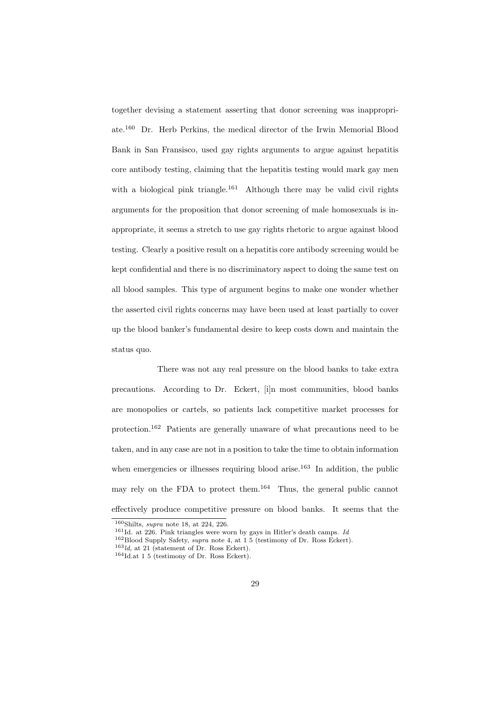together devising a statement asserting that donor screening was inappropriate.<sup>160</sup> Dr. Herb Perkins, the medical director of the Irwin Memorial Blood Bank in San Fransisco, used gay rights arguments to argue against hepatitis core antibody testing, claiming that the hepatitis testing would mark gay men with a biological pink triangle.<sup>161</sup> Although there may be valid civil rights arguments for the proposition that donor screening of male homosexuals is inappropriate, it seems a stretch to use gay rights rhetoric to argue against blood testing. Clearly a positive result on a hepatitis core antibody screening would be kept confidential and there is no discriminatory aspect to doing the same test on all blood samples. This type of argument begins to make one wonder whether the asserted civil rights concerns may have been used at least partially to cover up the blood banker's fundamental desire to keep costs down and maintain the status quo.

There was not any real pressure on the blood banks to take extra precautions. According to Dr. Eckert, [i]n most communities, blood banks are monopolies or cartels, so patients lack competitive market processes for protection.<sup>162</sup> Patients are generally unaware of what precautions need to be taken, and in any case are not in a position to take the time to obtain information when emergencies or illnesses requiring blood arise.<sup>163</sup> In addition, the public may rely on the FDA to protect them.<sup>164</sup> Thus, the general public cannot effectively produce competitive pressure on blood banks. It seems that the

 $160$ Shilts, supra note 18, at 224, 226.

 $161$ Id. at 226. Pink triangles were worn by gays in Hitler's death camps. Id

 $162$ Blood Supply Safety, *supra* note 4, at  $1\frac{5}{5}$  (testimony of Dr. Ross Eckert).

 $163$ ld, at 21 (statement of Dr. Ross Eckert).

<sup>164</sup>Id.at 1 5 (testimony of Dr. Ross Eckert).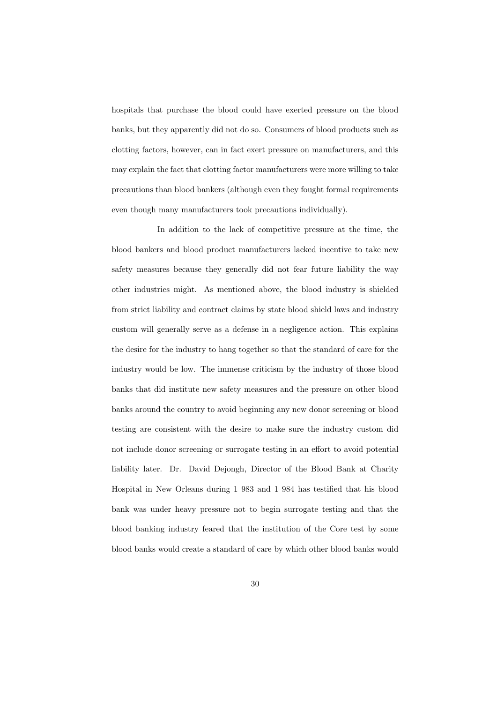hospitals that purchase the blood could have exerted pressure on the blood banks, but they apparently did not do so. Consumers of blood products such as clotting factors, however, can in fact exert pressure on manufacturers, and this may explain the fact that clotting factor manufacturers were more willing to take precautions than blood bankers (although even they fought formal requirements even though many manufacturers took precautions individually).

In addition to the lack of competitive pressure at the time, the blood bankers and blood product manufacturers lacked incentive to take new safety measures because they generally did not fear future liability the way other industries might. As mentioned above, the blood industry is shielded from strict liability and contract claims by state blood shield laws and industry custom will generally serve as a defense in a negligence action. This explains the desire for the industry to hang together so that the standard of care for the industry would be low. The immense criticism by the industry of those blood banks that did institute new safety measures and the pressure on other blood banks around the country to avoid beginning any new donor screening or blood testing are consistent with the desire to make sure the industry custom did not include donor screening or surrogate testing in an effort to avoid potential liability later. Dr. David Dejongh, Director of the Blood Bank at Charity Hospital in New Orleans during 1 983 and 1 984 has testified that his blood bank was under heavy pressure not to begin surrogate testing and that the blood banking industry feared that the institution of the Core test by some blood banks would create a standard of care by which other blood banks would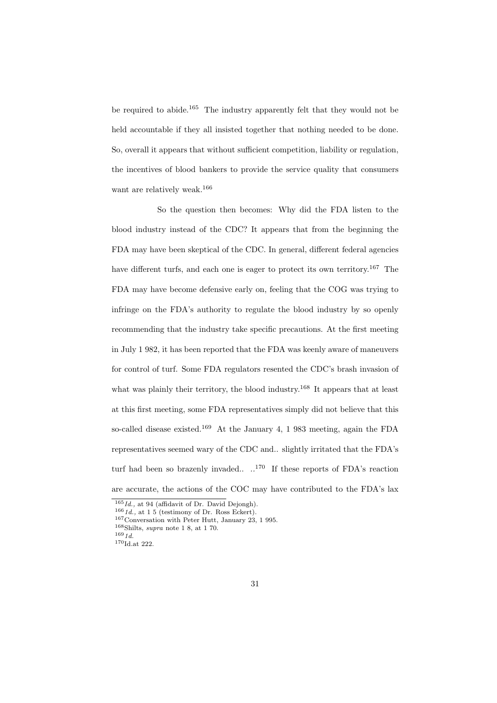be required to abide.<sup>165</sup> The industry apparently felt that they would not be held accountable if they all insisted together that nothing needed to be done. So, overall it appears that without sufficient competition, liability or regulation, the incentives of blood bankers to provide the service quality that consumers want are relatively weak.<sup>166</sup>

So the question then becomes: Why did the FDA listen to the blood industry instead of the CDC? It appears that from the beginning the FDA may have been skeptical of the CDC. In general, different federal agencies have different turfs, and each one is eager to protect its own territory.<sup>167</sup> The FDA may have become defensive early on, feeling that the COG was trying to infringe on the FDA's authority to regulate the blood industry by so openly recommending that the industry take specific precautions. At the first meeting in July 1 982, it has been reported that the FDA was keenly aware of maneuvers for control of turf. Some FDA regulators resented the CDC's brash invasion of what was plainly their territory, the blood industry.<sup>168</sup> It appears that at least at this first meeting, some FDA representatives simply did not believe that this so-called disease existed.<sup>169</sup> At the January 4, 1 983 meeting, again the FDA representatives seemed wary of the CDC and.. slightly irritated that the FDA's turf had been so brazenly invaded.. .. <sup>170</sup> If these reports of FDA's reaction are accurate, the actions of the COC may have contributed to the FDA's lax

 $168$ Shilts, supra note 1 8, at 1 70.

 $165$ Id., at 94 (affidavit of Dr. David Dejongh).

 $1661d$ ., at 1 5 (testimony of Dr. Ross Eckert).

<sup>167</sup>Conversation with Peter Hutt, January 23, 1 995.

 $169 \, 1d.$ 

 $\rm ^{170}Id.$  at 222.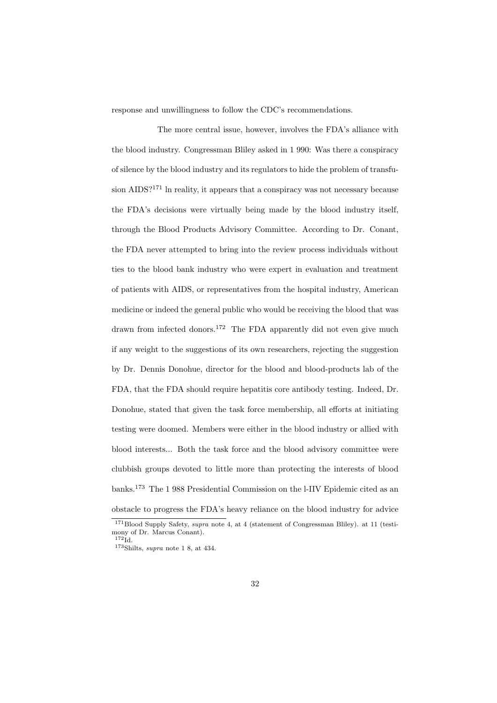response and unwillingness to follow the CDC's recommendations.

The more central issue, however, involves the FDA's alliance with the blood industry. Congressman Bliley asked in 1 990: Was there a conspiracy of silence by the blood industry and its regulators to hide the problem of transfusion AIDS?<sup>171</sup> ln reality, it appears that a conspiracy was not necessary because the FDA's decisions were virtually being made by the blood industry itself, through the Blood Products Advisory Committee. According to Dr. Conant, the FDA never attempted to bring into the review process individuals without ties to the blood bank industry who were expert in evaluation and treatment of patients with AIDS, or representatives from the hospital industry, American medicine or indeed the general public who would be receiving the blood that was drawn from infected donors.<sup>172</sup> The FDA apparently did not even give much if any weight to the suggestions of its own researchers, rejecting the suggestion by Dr. Dennis Donohue, director for the blood and blood-products lab of the FDA, that the FDA should require hepatitis core antibody testing. Indeed, Dr. Donohue, stated that given the task force membership, all efforts at initiating testing were doomed. Members were either in the blood industry or allied with blood interests... Both the task force and the blood advisory committee were clubbish groups devoted to little more than protecting the interests of blood banks.<sup>173</sup> The 1 988 Presidential Commission on the l-IIV Epidemic cited as an obstacle to progress the FDA's heavy reliance on the blood industry for advice

<sup>171</sup>Blood Supply Safety, supra note 4, at 4 (statement of Congressman Bliley). at 11 (testimony of Dr. Marcus Conant).  $172\text{Id}$ .

 $173$ Shilts, *supra* note 1 8, at 434.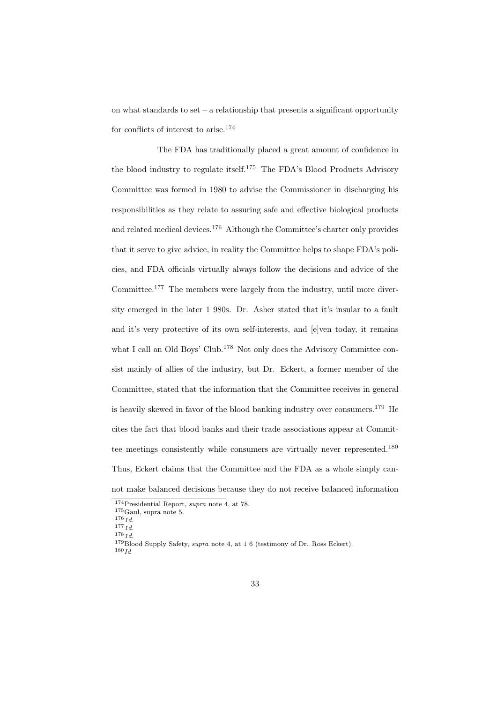on what standards to set – a relationship that presents a significant opportunity for conflicts of interest to arise.<sup>174</sup>

The FDA has traditionally placed a great amount of confidence in the blood industry to regulate itself.<sup>175</sup> The FDA's Blood Products Advisory Committee was formed in 1980 to advise the Commissioner in discharging his responsibilities as they relate to assuring safe and effective biological products and related medical devices.<sup>176</sup> Although the Committee's charter only provides that it serve to give advice, in reality the Committee helps to shape FDA's policies, and FDA officials virtually always follow the decisions and advice of the Committee.<sup>177</sup> The members were largely from the industry, until more diversity emerged in the later 1 980s. Dr. Asher stated that it's insular to a fault and it's very protective of its own self-interests, and [e]ven today, it remains what I call an Old Boys' Club.<sup>178</sup> Not only does the Advisory Committee consist mainly of allies of the industry, but Dr. Eckert, a former member of the Committee, stated that the information that the Committee receives in general is heavily skewed in favor of the blood banking industry over consumers.<sup>179</sup> He cites the fact that blood banks and their trade associations appear at Committee meetings consistently while consumers are virtually never represented.<sup>180</sup> Thus, Eckert claims that the Committee and the FDA as a whole simply cannot make balanced decisions because they do not receive balanced information

<sup>174</sup>Presidential Report, supra note 4, at 78.

 $^{175}\mathrm{Gaul,}$  supra note 5.

 $176 \, 1d.$ 

 $177 \frac{1}{1}$ 

 $178\,1d$ .

<sup>&</sup>lt;sup>179</sup>Blood Supply Safety, *supra* note 4, at 1 6 (testimony of Dr. Ross Eckert).

 $180$   $Id$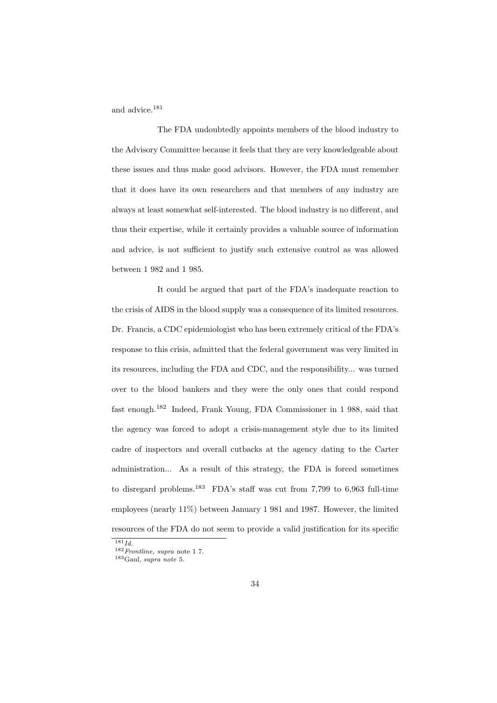and advice.<sup>181</sup>

The FDA undoubtedly appoints members of the blood industry to the Advisory Committee because it feels that they are very knowledgeable about these issues and thus make good advisors. However, the FDA must remember that it does have its own researchers and that members of any industry are always at least somewhat self-interested. The blood industry is no different, and thus their expertise, while it certainly provides a valuable source of information and advice, is not sufficient to justify such extensive control as was allowed between 1 982 and 1 985.

It could be argued that part of the FDA's inadequate reaction to the crisis of AIDS in the blood supply was a consequence of its limited resources. Dr. Francis, a CDC epidemiologist who has been extremely critical of the FDA's response to this crisis, admitted that the federal government was very limited in its resources, including the FDA and CDC, and the responsibility... was turned over to the blood bankers and they were the only ones that could respond fast enough.<sup>182</sup> Indeed, Frank Young, FDA Commissioner in 1 988, said that the agency was forced to adopt a crisis-management style due to its limited cadre of inspectors and overall cutbacks at the agency dating to the Carter administration... As a result of this strategy, the FDA is forced sometimes to disregard problems.<sup>183</sup> FDA's staff was cut from 7,799 to 6,963 full-time employees (nearly 11%) between January 1 981 and 1987. However, the limited resources of the FDA do not seem to provide a valid justification for its specific

 $\overline{181}$ *Id.* 

 $^{182}Fronline, \ super$  note 1 7.

<sup>183</sup>Gaul, supra note 5.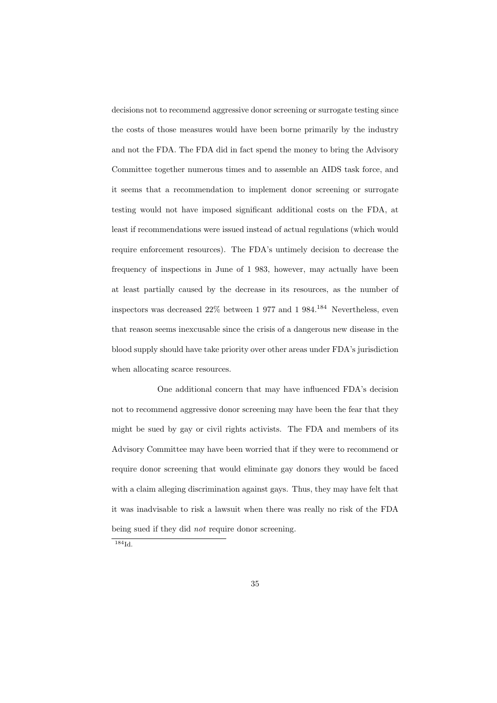decisions not to recommend aggressive donor screening or surrogate testing since the costs of those measures would have been borne primarily by the industry and not the FDA. The FDA did in fact spend the money to bring the Advisory Committee together numerous times and to assemble an AIDS task force, and it seems that a recommendation to implement donor screening or surrogate testing would not have imposed significant additional costs on the FDA, at least if recommendations were issued instead of actual regulations (which would require enforcement resources). The FDA's untimely decision to decrease the frequency of inspections in June of 1 983, however, may actually have been at least partially caused by the decrease in its resources, as the number of inspectors was decreased 22% between 1 977 and 1 984.<sup>184</sup> Nevertheless, even that reason seems inexcusable since the crisis of a dangerous new disease in the blood supply should have take priority over other areas under FDA's jurisdiction when allocating scarce resources.

One additional concern that may have influenced FDA's decision not to recommend aggressive donor screening may have been the fear that they might be sued by gay or civil rights activists. The FDA and members of its Advisory Committee may have been worried that if they were to recommend or require donor screening that would eliminate gay donors they would be faced with a claim alleging discrimination against gays. Thus, they may have felt that it was inadvisable to risk a lawsuit when there was really no risk of the FDA being sued if they did *not* require donor screening.

<sup>184</sup>Id.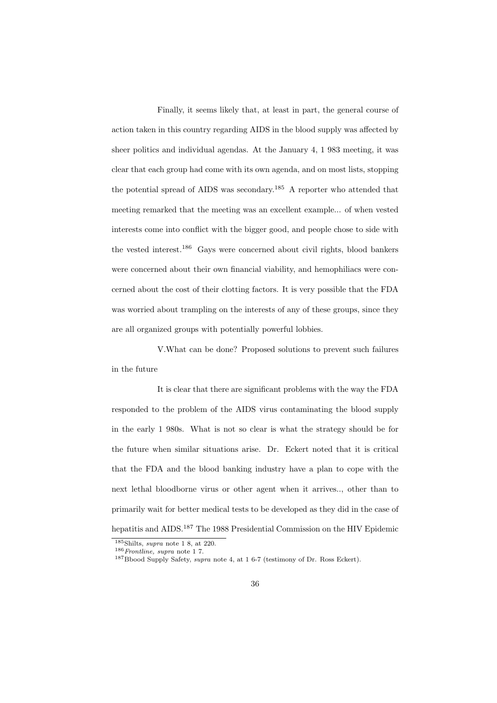Finally, it seems likely that, at least in part, the general course of action taken in this country regarding AIDS in the blood supply was affected by sheer politics and individual agendas. At the January 4, 1 983 meeting, it was clear that each group had come with its own agenda, and on most lists, stopping the potential spread of AIDS was secondary.<sup>185</sup> A reporter who attended that meeting remarked that the meeting was an excellent example... of when vested interests come into conflict with the bigger good, and people chose to side with the vested interest.<sup>186</sup> Gays were concerned about civil rights, blood bankers were concerned about their own financial viability, and hemophiliacs were concerned about the cost of their clotting factors. It is very possible that the FDA was worried about trampling on the interests of any of these groups, since they are all organized groups with potentially powerful lobbies.

V.What can be done? Proposed solutions to prevent such failures in the future

It is clear that there are significant problems with the way the FDA responded to the problem of the AIDS virus contaminating the blood supply in the early 1 980s. What is not so clear is what the strategy should be for the future when similar situations arise. Dr. Eckert noted that it is critical that the FDA and the blood banking industry have a plan to cope with the next lethal bloodborne virus or other agent when it arrives.., other than to primarily wait for better medical tests to be developed as they did in the case of hepatitis and AIDS.<sup>187</sup> The 1988 Presidential Commission on the HIV Epidemic

 $\frac{185}{\text{Shilts}}$ , supra note 1 8, at 220.

 $^{186}$   $Fronline, \ super$  note 1 7.

<sup>&</sup>lt;sup>187</sup>Bbood Supply Safety, *supra* note 4, at 1 6-7 (testimony of Dr. Ross Eckert).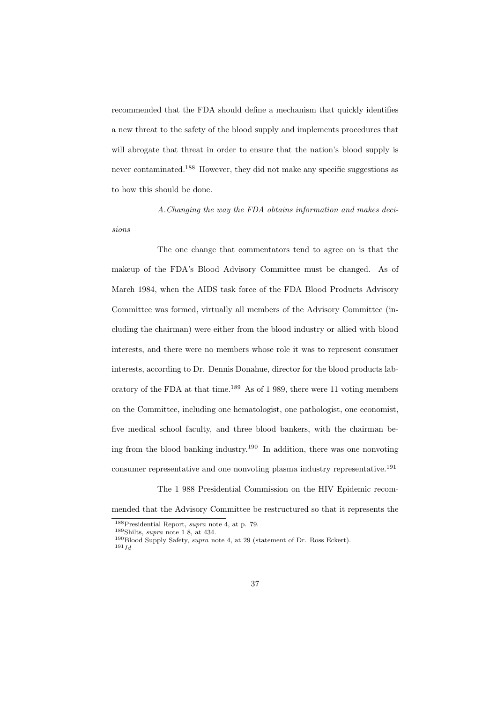recommended that the FDA should define a mechanism that quickly identifies a new threat to the safety of the blood supply and implements procedures that will abrogate that threat in order to ensure that the nation's blood supply is never contaminated.<sup>188</sup> However, they did not make any specific suggestions as to how this should be done.

A.Changing the way the FDA obtains information and makes decisions

The one change that commentators tend to agree on is that the makeup of the FDA's Blood Advisory Committee must be changed. As of March 1984, when the AIDS task force of the FDA Blood Products Advisory Committee was formed, virtually all members of the Advisory Committee (including the chairman) were either from the blood industry or allied with blood interests, and there were no members whose role it was to represent consumer interests, according to Dr. Dennis Donahue, director for the blood products laboratory of the FDA at that time.<sup>189</sup> As of 1 989, there were 11 voting members on the Committee, including one hematologist, one pathologist, one economist, five medical school faculty, and three blood bankers, with the chairman being from the blood banking industry.<sup>190</sup> In addition, there was one nonvoting consumer representative and one nonvoting plasma industry representative.<sup>191</sup>

The 1 988 Presidential Commission on the HIV Epidemic recommended that the Advisory Committee be restructured so that it represents the

<sup>188</sup>Presidential Report, supra note 4, at p. 79.

<sup>189</sup>Shilts, supra note 1 8, at 434.

<sup>&</sup>lt;sup>190</sup>Blood Supply Safety, *supra* note 4, at 29 (statement of Dr. Ross Eckert).  $191\, \overset{\_}{Id}$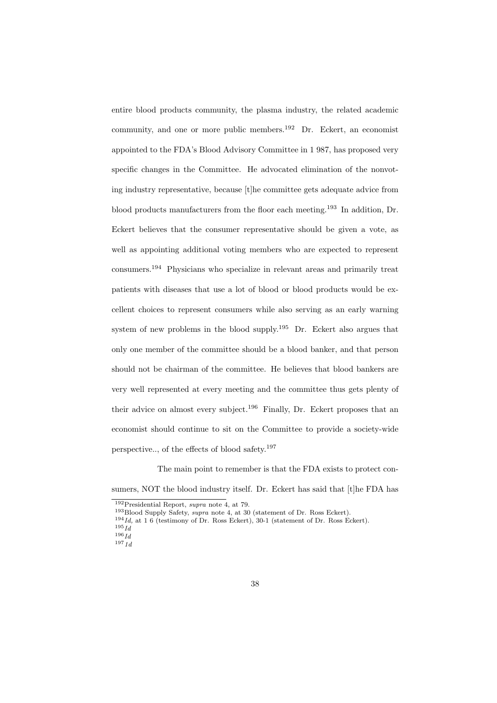entire blood products community, the plasma industry, the related academic community, and one or more public members.<sup>192</sup> Dr. Eckert, an economist appointed to the FDA's Blood Advisory Committee in 1 987, has proposed very specific changes in the Committee. He advocated elimination of the nonvoting industry representative, because [t]he committee gets adequate advice from blood products manufacturers from the floor each meeting.<sup>193</sup> In addition, Dr. Eckert believes that the consumer representative should be given a vote, as well as appointing additional voting members who are expected to represent consumers.<sup>194</sup> Physicians who specialize in relevant areas and primarily treat patients with diseases that use a lot of blood or blood products would be excellent choices to represent consumers while also serving as an early warning system of new problems in the blood supply.<sup>195</sup> Dr. Eckert also argues that only one member of the committee should be a blood banker, and that person should not be chairman of the committee. He believes that blood bankers are very well represented at every meeting and the committee thus gets plenty of their advice on almost every subject.<sup>196</sup> Finally, Dr. Eckert proposes that an economist should continue to sit on the Committee to provide a society-wide perspective.., of the effects of blood safety.<sup>197</sup>

The main point to remember is that the FDA exists to protect consumers, NOT the blood industry itself. Dr. Eckert has said that [t]he FDA has

 $192\text{P}_\text{residental Report}, \text{supra note 4, at 79}.$ 

<sup>193</sup>Blood Supply Safety, supra note 4, at 30 (statement of Dr. Ross Eckert).

 $194$  Id, at 1.6 (testimony of Dr. Ross Eckert), 30-1 (statement of Dr. Ross Eckert).

 $195\overline{Id}$ 

 $196\overline{Id}$ 

 $197 \frac{1}{1}$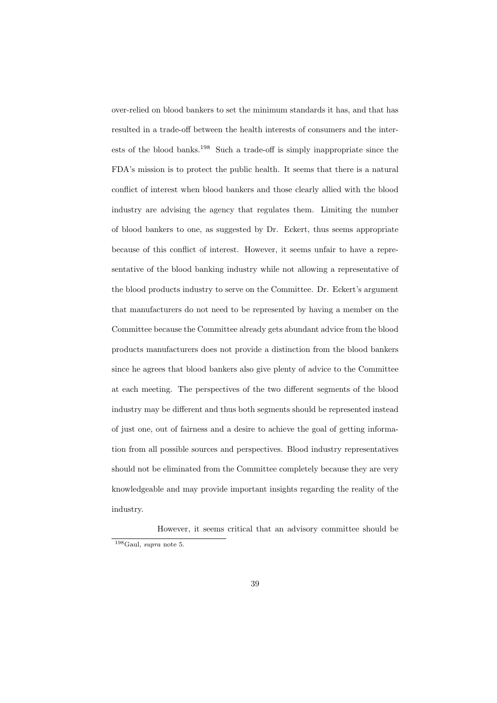over-relied on blood bankers to set the minimum standards it has, and that has resulted in a trade-off between the health interests of consumers and the interests of the blood banks.<sup>198</sup> Such a trade-off is simply inappropriate since the FDA's mission is to protect the public health. It seems that there is a natural conflict of interest when blood bankers and those clearly allied with the blood industry are advising the agency that regulates them. Limiting the number of blood bankers to one, as suggested by Dr. Eckert, thus seems appropriate because of this conflict of interest. However, it seems unfair to have a representative of the blood banking industry while not allowing a representative of the blood products industry to serve on the Committee. Dr. Eckert's argument that manufacturers do not need to be represented by having a member on the Committee because the Committee already gets abundant advice from the blood products manufacturers does not provide a distinction from the blood bankers since he agrees that blood bankers also give plenty of advice to the Committee at each meeting. The perspectives of the two different segments of the blood industry may be different and thus both segments should be represented instead of just one, out of fairness and a desire to achieve the goal of getting information from all possible sources and perspectives. Blood industry representatives should not be eliminated from the Committee completely because they are very knowledgeable and may provide important insights regarding the reality of the industry.

However, it seems critical that an advisory committee should be <sup>198</sup>Gaul, supra note 5.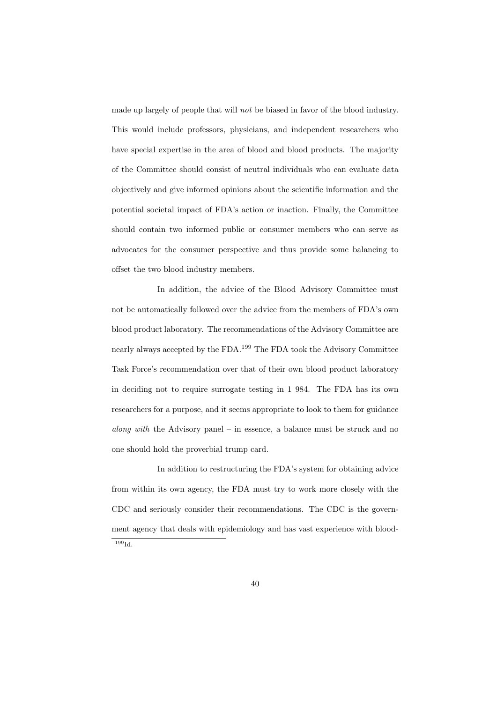made up largely of people that will not be biased in favor of the blood industry. This would include professors, physicians, and independent researchers who have special expertise in the area of blood and blood products. The majority of the Committee should consist of neutral individuals who can evaluate data objectively and give informed opinions about the scientific information and the potential societal impact of FDA's action or inaction. Finally, the Committee should contain two informed public or consumer members who can serve as advocates for the consumer perspective and thus provide some balancing to offset the two blood industry members.

In addition, the advice of the Blood Advisory Committee must not be automatically followed over the advice from the members of FDA's own blood product laboratory. The recommendations of the Advisory Committee are nearly always accepted by the FDA.<sup>199</sup> The FDA took the Advisory Committee Task Force's recommendation over that of their own blood product laboratory in deciding not to require surrogate testing in 1 984. The FDA has its own researchers for a purpose, and it seems appropriate to look to them for guidance along with the Advisory panel – in essence, a balance must be struck and no one should hold the proverbial trump card.

In addition to restructuring the FDA's system for obtaining advice from within its own agency, the FDA must try to work more closely with the CDC and seriously consider their recommendations. The CDC is the government agency that deals with epidemiology and has vast experience with blood-<sup>199</sup>Id.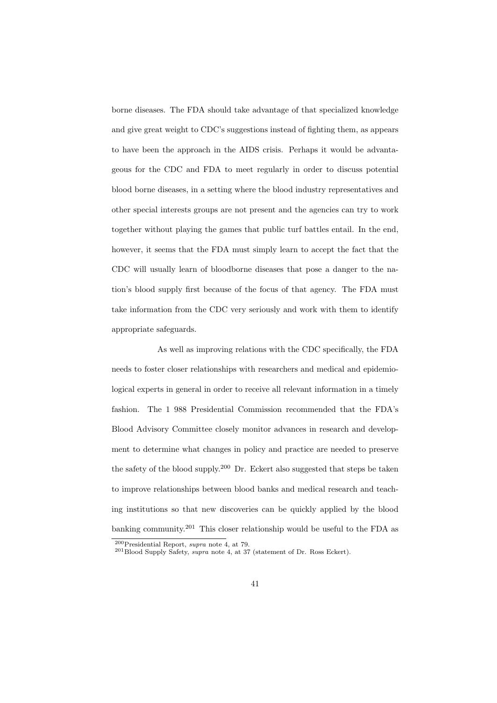borne diseases. The FDA should take advantage of that specialized knowledge and give great weight to CDC's suggestions instead of fighting them, as appears to have been the approach in the AIDS crisis. Perhaps it would be advantageous for the CDC and FDA to meet regularly in order to discuss potential blood borne diseases, in a setting where the blood industry representatives and other special interests groups are not present and the agencies can try to work together without playing the games that public turf battles entail. In the end, however, it seems that the FDA must simply learn to accept the fact that the CDC will usually learn of bloodborne diseases that pose a danger to the nation's blood supply first because of the focus of that agency. The FDA must take information from the CDC very seriously and work with them to identify appropriate safeguards.

As well as improving relations with the CDC specifically, the FDA needs to foster closer relationships with researchers and medical and epidemiological experts in general in order to receive all relevant information in a timely fashion. The 1 988 Presidential Commission recommended that the FDA's Blood Advisory Committee closely monitor advances in research and development to determine what changes in policy and practice are needed to preserve the safety of the blood supply.<sup>200</sup> Dr. Eckert also suggested that steps be taken to improve relationships between blood banks and medical research and teaching institutions so that new discoveries can be quickly applied by the blood banking community.<sup>201</sup> This closer relationship would be useful to the FDA as

<sup>200</sup>Presidential Report, supra note 4, at 79.

 $^{201}$ Blood Supply Safety, supra note 4, at 37 (statement of Dr. Ross Eckert).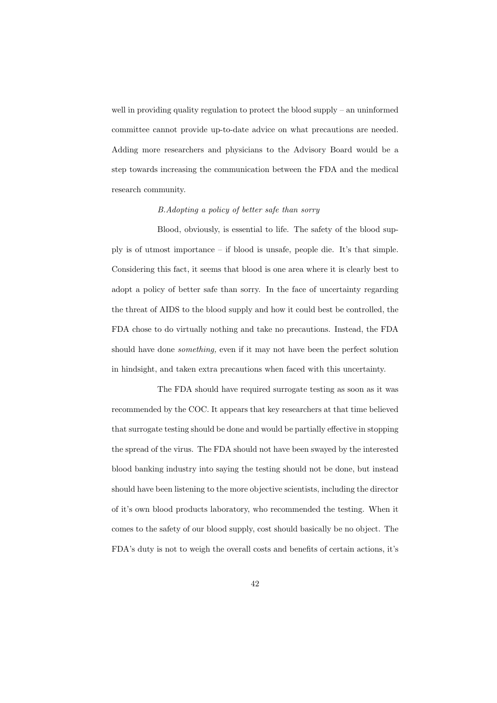well in providing quality regulation to protect the blood supply – an uninformed committee cannot provide up-to-date advice on what precautions are needed. Adding more researchers and physicians to the Advisory Board would be a step towards increasing the communication between the FDA and the medical research community.

### B.Adopting a policy of better safe than sorry

Blood, obviously, is essential to life. The safety of the blood supply is of utmost importance – if blood is unsafe, people die. It's that simple. Considering this fact, it seems that blood is one area where it is clearly best to adopt a policy of better safe than sorry. In the face of uncertainty regarding the threat of AIDS to the blood supply and how it could best be controlled, the FDA chose to do virtually nothing and take no precautions. Instead, the FDA should have done something, even if it may not have been the perfect solution in hindsight, and taken extra precautions when faced with this uncertainty.

The FDA should have required surrogate testing as soon as it was recommended by the COC. It appears that key researchers at that time believed that surrogate testing should be done and would be partially effective in stopping the spread of the virus. The FDA should not have been swayed by the interested blood banking industry into saying the testing should not be done, but instead should have been listening to the more objective scientists, including the director of it's own blood products laboratory, who recommended the testing. When it comes to the safety of our blood supply, cost should basically be no object. The FDA's duty is not to weigh the overall costs and benefits of certain actions, it's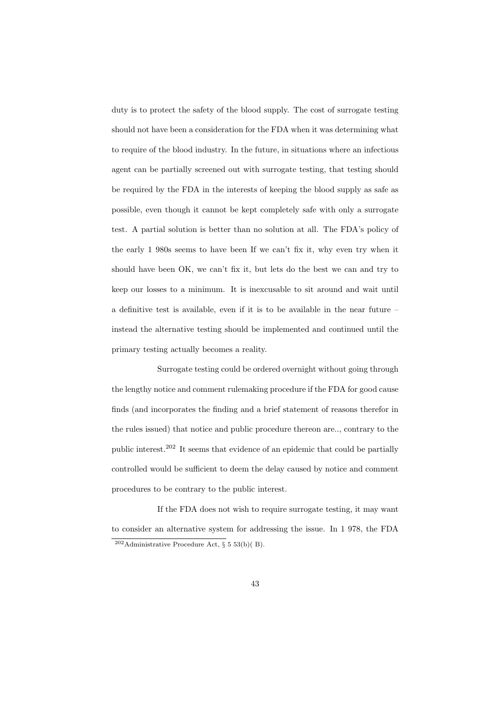duty is to protect the safety of the blood supply. The cost of surrogate testing should not have been a consideration for the FDA when it was determining what to require of the blood industry. In the future, in situations where an infectious agent can be partially screened out with surrogate testing, that testing should be required by the FDA in the interests of keeping the blood supply as safe as possible, even though it cannot be kept completely safe with only a surrogate test. A partial solution is better than no solution at all. The FDA's policy of the early 1 980s seems to have been If we can't fix it, why even try when it should have been OK, we can't fix it, but lets do the best we can and try to keep our losses to a minimum. It is inexcusable to sit around and wait until a definitive test is available, even if it is to be available in the near future – instead the alternative testing should be implemented and continued until the primary testing actually becomes a reality.

Surrogate testing could be ordered overnight without going through the lengthy notice and comment rulemaking procedure if the FDA for good cause finds (and incorporates the finding and a brief statement of reasons therefor in the rules issued) that notice and public procedure thereon are.., contrary to the public interest.<sup>202</sup> It seems that evidence of an epidemic that could be partially controlled would be sufficient to deem the delay caused by notice and comment procedures to be contrary to the public interest.

If the FDA does not wish to require surrogate testing, it may want to consider an alternative system for addressing the issue. In 1 978, the FDA  $202$ Administrative Procedure Act, § 5 53(b)(B).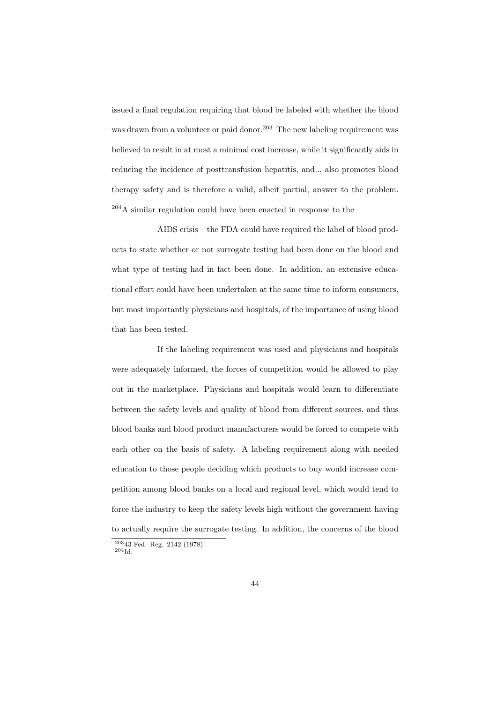issued a final regulation requiring that blood be labeled with whether the blood was drawn from a volunteer or paid donor.<sup>203</sup> The new labeling requirement was believed to result in at most a minimal cost increase, while it significantly aids in reducing the incidence of posttransfusion hepatitis, and.., also promotes blood therapy safety and is therefore a valid, albeit partial, answer to the problem. <sup>204</sup>A similar regulation could have been enacted in response to the

AIDS crisis – the FDA could have required the label of blood products to state whether or not surrogate testing had been done on the blood and what type of testing had in fact been done. In addition, an extensive educational effort could have been undertaken at the same time to inform consumers, but most importantly physicians and hospitals, of the importance of using blood that has been tested.

If the labeling requirement was used and physicians and hospitals were adequately informed, the forces of competition would be allowed to play out in the marketplace. Physicians and hospitals would learn to differentiate between the safety levels and quality of blood from different sources, and thus blood banks and blood product manufacturers would be forced to compete with each other on the basis of safety. A labeling requirement along with needed education to those people deciding which products to buy would increase competition among blood banks on a local and regional level, which would tend to force the industry to keep the safety levels high without the government having to actually require the surrogate testing. In addition, the concerns of the blood

 $20343$  Fed. Reg. 2142 (1978).  $^{204}$ Id.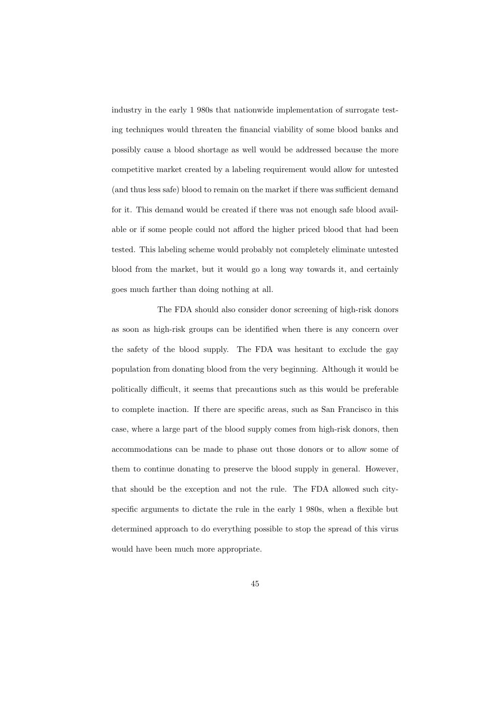industry in the early 1 980s that nationwide implementation of surrogate testing techniques would threaten the financial viability of some blood banks and possibly cause a blood shortage as well would be addressed because the more competitive market created by a labeling requirement would allow for untested (and thus less safe) blood to remain on the market if there was sufficient demand for it. This demand would be created if there was not enough safe blood available or if some people could not afford the higher priced blood that had been tested. This labeling scheme would probably not completely eliminate untested blood from the market, but it would go a long way towards it, and certainly goes much farther than doing nothing at all.

The FDA should also consider donor screening of high-risk donors as soon as high-risk groups can be identified when there is any concern over the safety of the blood supply. The FDA was hesitant to exclude the gay population from donating blood from the very beginning. Although it would be politically difficult, it seems that precautions such as this would be preferable to complete inaction. If there are specific areas, such as San Francisco in this case, where a large part of the blood supply comes from high-risk donors, then accommodations can be made to phase out those donors or to allow some of them to continue donating to preserve the blood supply in general. However, that should be the exception and not the rule. The FDA allowed such cityspecific arguments to dictate the rule in the early 1 980s, when a flexible but determined approach to do everything possible to stop the spread of this virus would have been much more appropriate.